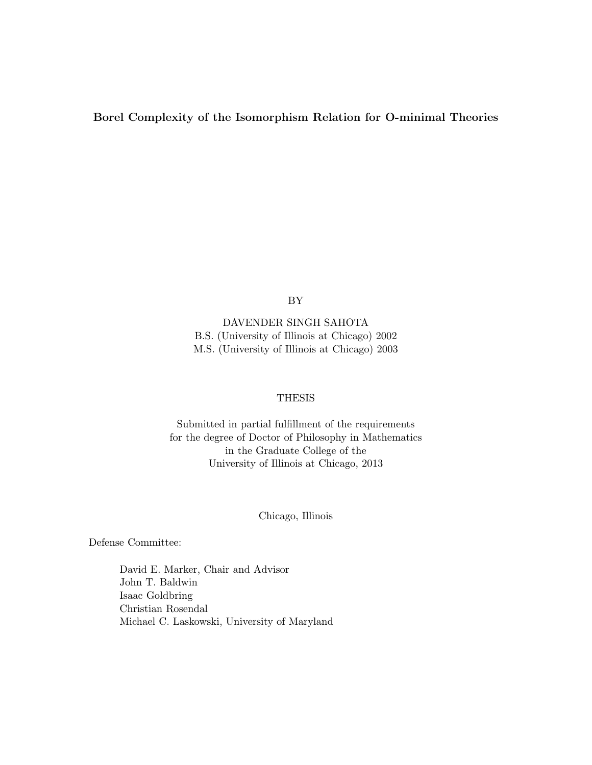#### Borel Complexity of the Isomorphism Relation for O-minimal Theories

BY

DAVENDER SINGH SAHOTA B.S. (University of Illinois at Chicago) 2002 M.S. (University of Illinois at Chicago) 2003

#### THESIS

Submitted in partial fulfillment of the requirements for the degree of Doctor of Philosophy in Mathematics in the Graduate College of the University of Illinois at Chicago, 2013

Chicago, Illinois

Defense Committee:

David E. Marker, Chair and Advisor John T. Baldwin Isaac Goldbring Christian Rosendal Michael C. Laskowski, University of Maryland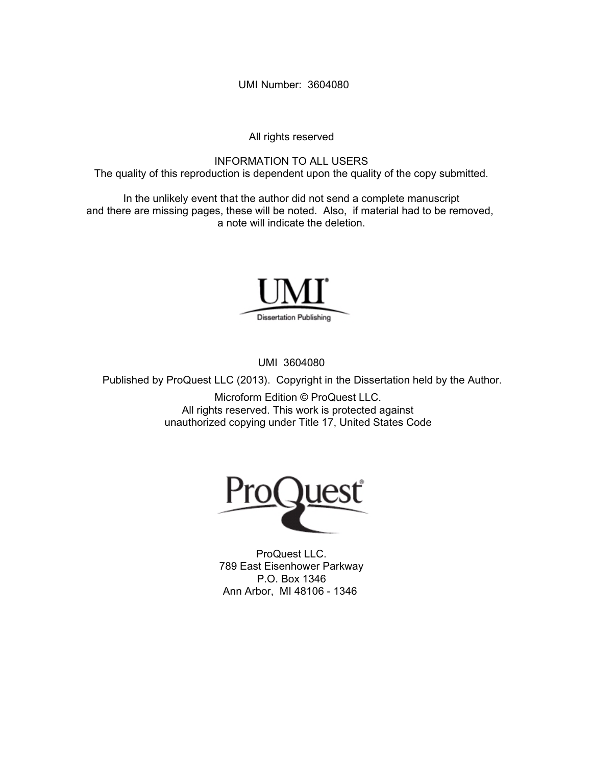UMI Number: 3604080

All rights reserved

INFORMATION TO ALL USERS The quality of this reproduction is dependent upon the quality of the copy submitted.

In the unlikely event that the author did not send a complete manuscript and there are missing pages, these will be noted. Also, if material had to be removed, a note will indicate the deletion.



UMI 3604080

Published by ProQuest LLC (2013). Copyright in the Dissertation held by the Author.

Microform Edition © ProQuest LLC. All rights reserved. This work is protected against unauthorized copying under Title 17, United States Code



ProQuest LLC. 789 East Eisenhower Parkway P.O. Box 1346 Ann Arbor, MI 48106 - 1346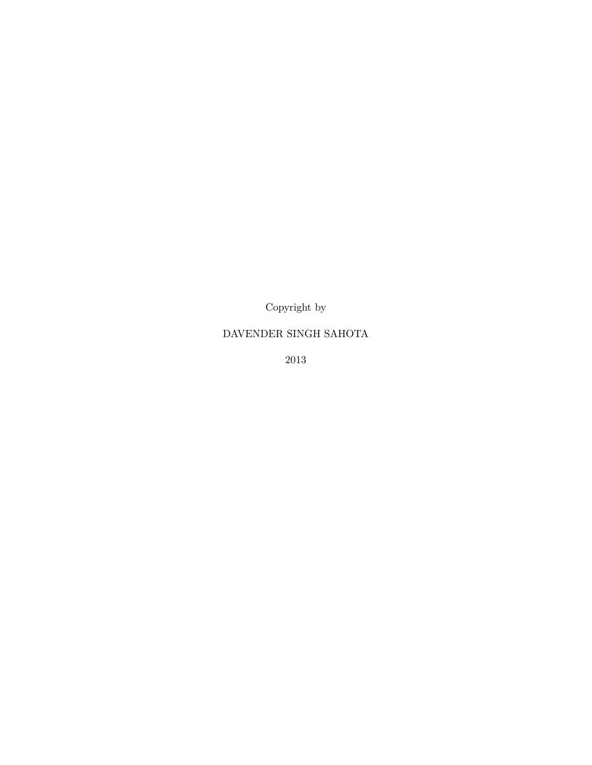Copyright by

### DAVENDER SINGH SAHOTA

2013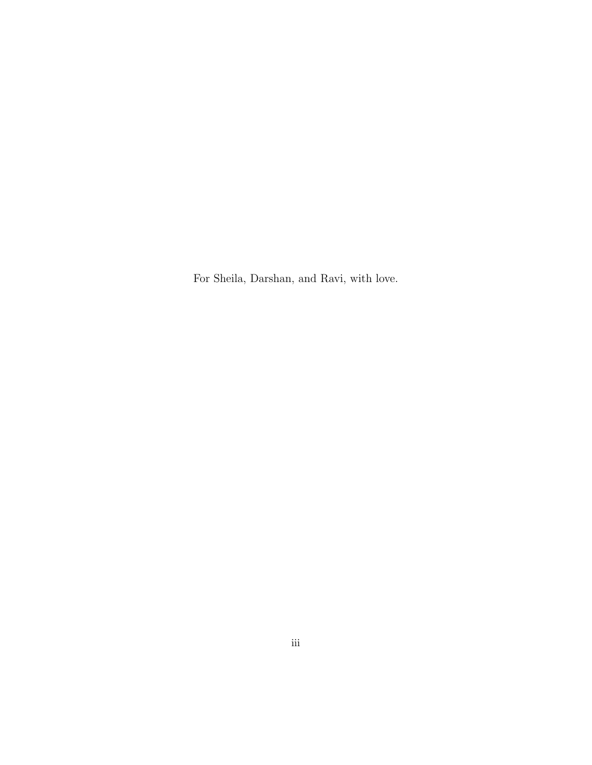For Sheila, Darshan, and Ravi, with love.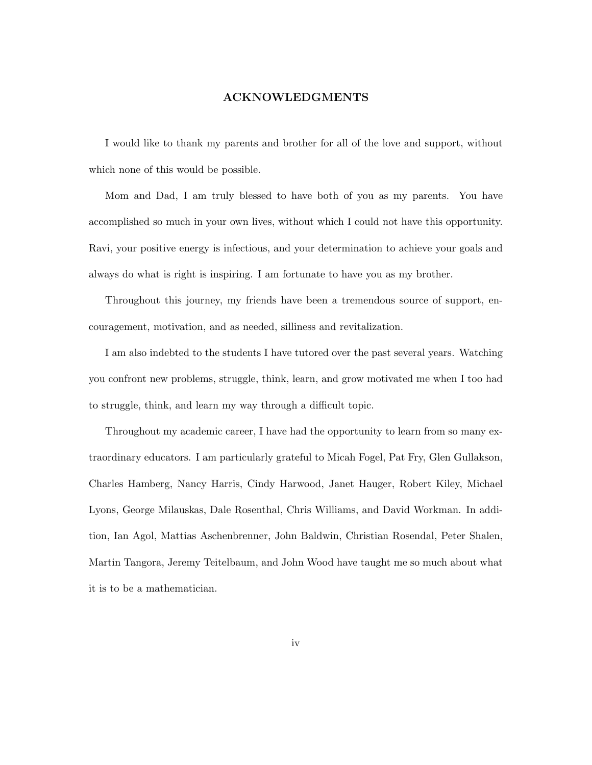#### ACKNOWLEDGMENTS

I would like to thank my parents and brother for all of the love and support, without which none of this would be possible.

Mom and Dad, I am truly blessed to have both of you as my parents. You have accomplished so much in your own lives, without which I could not have this opportunity. Ravi, your positive energy is infectious, and your determination to achieve your goals and always do what is right is inspiring. I am fortunate to have you as my brother.

Throughout this journey, my friends have been a tremendous source of support, encouragement, motivation, and as needed, silliness and revitalization.

I am also indebted to the students I have tutored over the past several years. Watching you confront new problems, struggle, think, learn, and grow motivated me when I too had to struggle, think, and learn my way through a difficult topic.

Throughout my academic career, I have had the opportunity to learn from so many extraordinary educators. I am particularly grateful to Micah Fogel, Pat Fry, Glen Gullakson, Charles Hamberg, Nancy Harris, Cindy Harwood, Janet Hauger, Robert Kiley, Michael Lyons, George Milauskas, Dale Rosenthal, Chris Williams, and David Workman. In addition, Ian Agol, Mattias Aschenbrenner, John Baldwin, Christian Rosendal, Peter Shalen, Martin Tangora, Jeremy Teitelbaum, and John Wood have taught me so much about what it is to be a mathematician.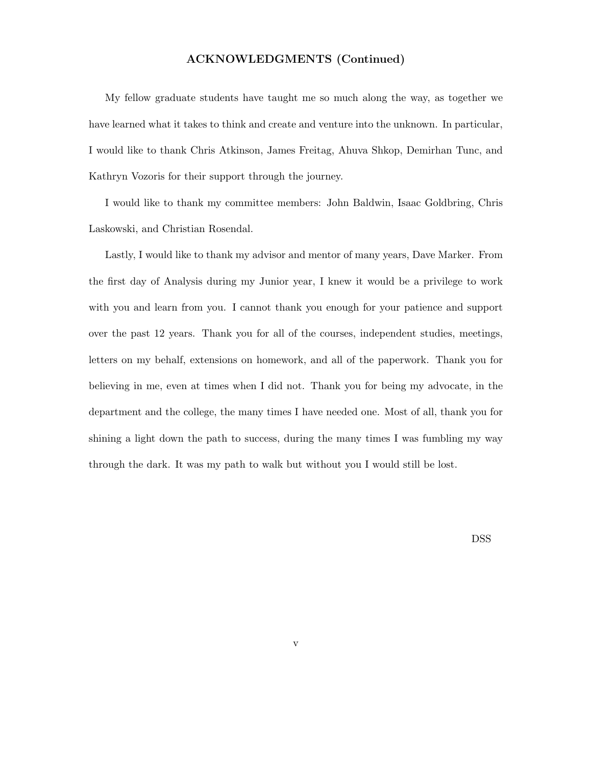#### ACKNOWLEDGMENTS (Continued)

My fellow graduate students have taught me so much along the way, as together we have learned what it takes to think and create and venture into the unknown. In particular, I would like to thank Chris Atkinson, James Freitag, Ahuva Shkop, Demirhan Tunc, and Kathryn Vozoris for their support through the journey.

I would like to thank my committee members: John Baldwin, Isaac Goldbring, Chris Laskowski, and Christian Rosendal.

Lastly, I would like to thank my advisor and mentor of many years, Dave Marker. From the first day of Analysis during my Junior year, I knew it would be a privilege to work with you and learn from you. I cannot thank you enough for your patience and support over the past 12 years. Thank you for all of the courses, independent studies, meetings, letters on my behalf, extensions on homework, and all of the paperwork. Thank you for believing in me, even at times when I did not. Thank you for being my advocate, in the department and the college, the many times I have needed one. Most of all, thank you for shining a light down the path to success, during the many times I was fumbling my way through the dark. It was my path to walk but without you I would still be lost.

DSS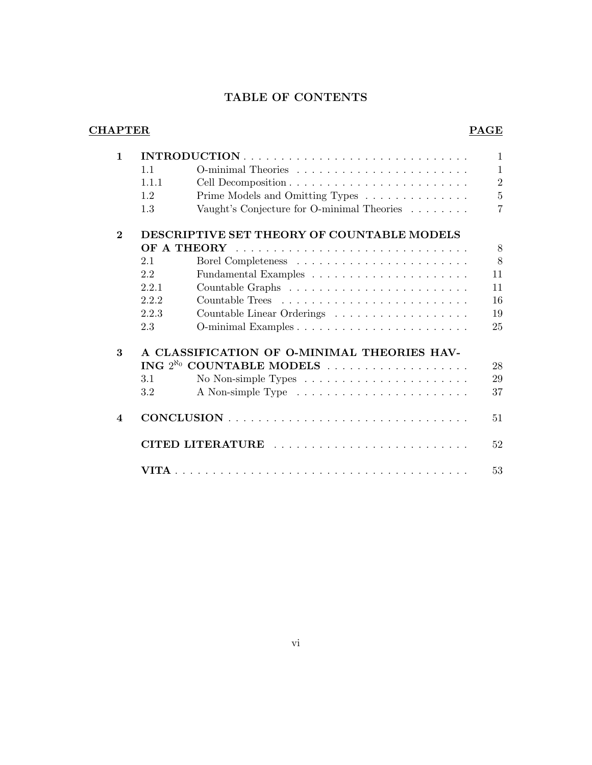# TABLE OF CONTENTS

## CHAPTER PAGE

| $\mathbf{1}$            |       |                                                                       | $\mathbf{1}$   |
|-------------------------|-------|-----------------------------------------------------------------------|----------------|
|                         | 1.1   |                                                                       | $\mathbf{1}$   |
|                         | 1.1.1 |                                                                       | $\overline{2}$ |
|                         | 1.2   | Prime Models and Omitting Types                                       | $\overline{5}$ |
|                         | 1.3   | Vaught's Conjecture for O-minimal Theories                            | $\overline{7}$ |
| $\mathbf{2}$            |       | DESCRIPTIVE SET THEORY OF COUNTABLE MODELS                            |                |
|                         |       |                                                                       | 8              |
|                         | 2.1   |                                                                       | 8              |
|                         | 2.2   |                                                                       | 11             |
|                         | 2.2.1 |                                                                       | 11             |
|                         | 2.2.2 |                                                                       | 16             |
|                         | 2.2.3 | Countable Linear Orderings                                            | 19             |
|                         | 2.3   |                                                                       | 25             |
| 3                       |       | A CLASSIFICATION OF O-MINIMAL THEORIES HAV-                           |                |
|                         |       |                                                                       | 28             |
|                         | 3.1   | No Non-simple Types $\dots \dots \dots \dots \dots \dots \dots \dots$ | 29             |
|                         | 3.2   |                                                                       | 37             |
| $\overline{\mathbf{4}}$ |       |                                                                       | 51             |
|                         |       | CITED LITERATURE                                                      | 52             |
|                         |       |                                                                       | 53             |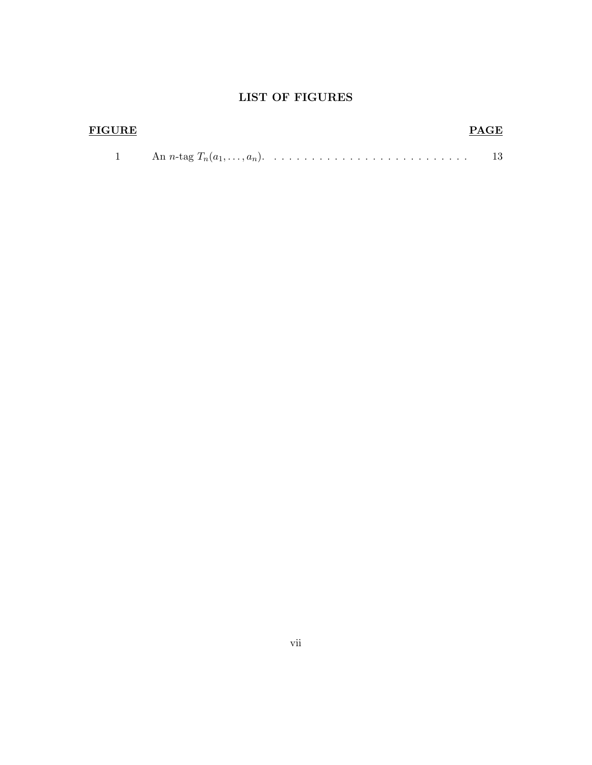# LIST OF FIGURES

| <b>FIGURE</b> | <b>PAGE</b> |
|---------------|-------------|
|               |             |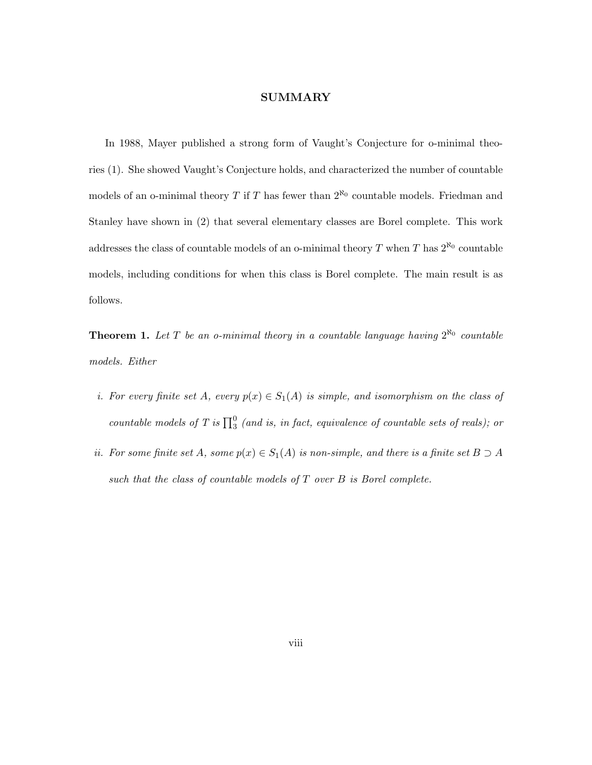#### SUMMARY

In 1988, Mayer published a strong form of Vaught's Conjecture for o-minimal theories (1). She showed Vaught's Conjecture holds, and characterized the number of countable models of an o-minimal theory T if T has fewer than  $2^{\aleph_0}$  countable models. Friedman and Stanley have shown in (2) that several elementary classes are Borel complete. This work addresses the class of countable models of an o-minimal theory  $T$  when  $T$  has  $2^{\aleph_0}$  countable models, including conditions for when this class is Borel complete. The main result is as follows.

**Theorem 1.** Let T be an o-minimal theory in a countable language having  $2^{\aleph_0}$  countable models. Either

- i. For every finite set A, every  $p(x) \in S_1(A)$  is simple, and isomorphism on the class of countable models of T is  $\prod_3^0$  (and is, in fact, equivalence of countable sets of reals); or
- ii. For some finite set A, some  $p(x) \in S_1(A)$  is non-simple, and there is a finite set  $B \supset A$ such that the class of countable models of  $T$  over  $B$  is Borel complete.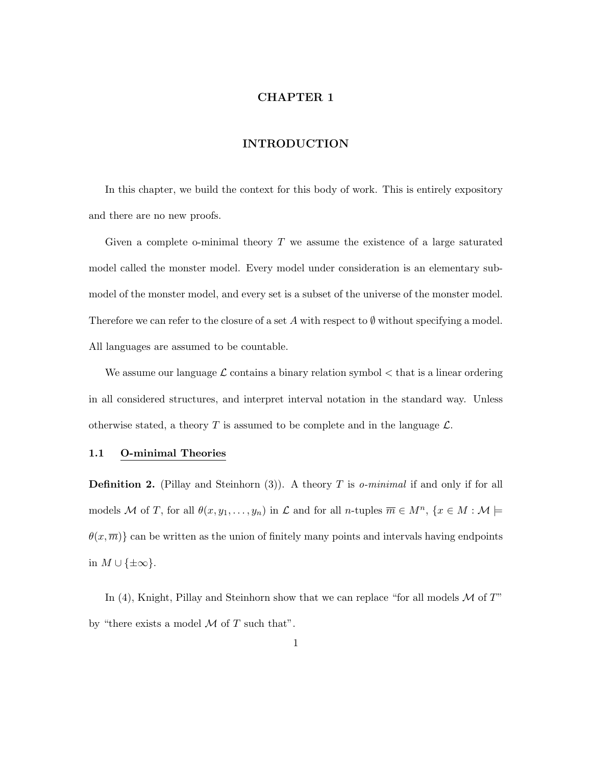#### CHAPTER 1

#### INTRODUCTION

In this chapter, we build the context for this body of work. This is entirely expository and there are no new proofs.

Given a complete o-minimal theory  $T$  we assume the existence of a large saturated model called the monster model. Every model under consideration is an elementary submodel of the monster model, and every set is a subset of the universe of the monster model. Therefore we can refer to the closure of a set A with respect to  $\emptyset$  without specifying a model. All languages are assumed to be countable.

We assume our language  $\mathcal L$  contains a binary relation symbol  $\lt$  that is a linear ordering in all considered structures, and interpret interval notation in the standard way. Unless otherwise stated, a theory T is assumed to be complete and in the language  $\mathcal{L}$ .

#### 1.1 O-minimal Theories

**Definition 2.** (Pillay and Steinhorn (3)). A theory T is *o-minimal* if and only if for all models M of T, for all  $\theta(x, y_1, \ldots, y_n)$  in  $\mathcal L$  and for all n-tuples  $\overline{m} \in M^n$ ,  $\{x \in M : \mathcal M \models$  $\theta(x, \overline{m})$  can be written as the union of finitely many points and intervals having endpoints in  $M \cup {\pm \infty}$ .

In (4), Knight, Pillay and Steinhorn show that we can replace "for all models  $\mathcal M$  of  $T$ " by "there exists a model  $\mathcal M$  of  $T$  such that".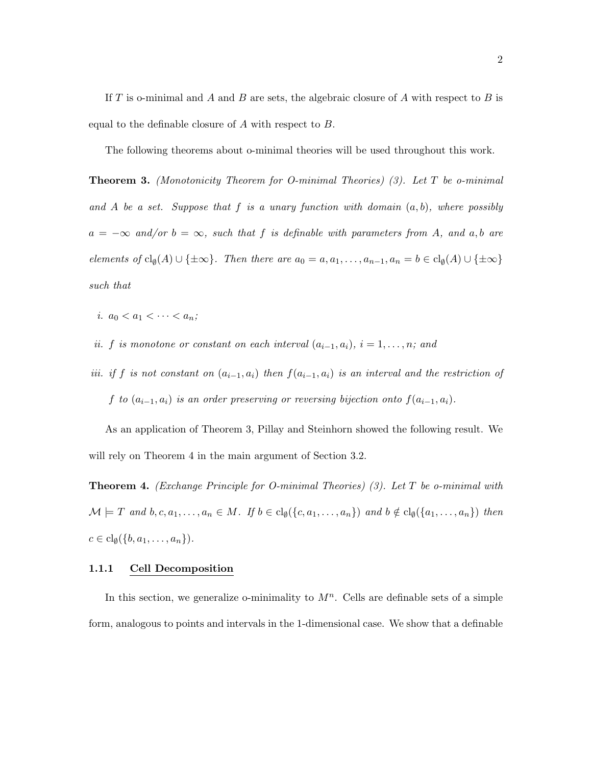If T is o-minimal and A and B are sets, the algebraic closure of A with respect to B is equal to the definable closure of A with respect to B.

The following theorems about o-minimal theories will be used throughout this work.

**Theorem 3.** (Monotonicity Theorem for O-minimal Theories) (3). Let  $T$  be o-minimal and A be a set. Suppose that f is a unary function with domain  $(a, b)$ , where possibly  $a = -\infty$  and/or  $b = \infty$ , such that f is definable with parameters from A, and a,b are elements of  $\text{cl}_{\emptyset}(A) \cup \{\pm \infty\}$ . Then there are  $a_0 = a, a_1, \ldots, a_{n-1}, a_n = b \in \text{cl}_{\emptyset}(A) \cup \{\pm \infty\}$ such that

- i.  $a_0 < a_1 < \cdots < a_n$ ;
- ii. f is monotone or constant on each interval  $(a_{i-1}, a_i)$ ,  $i = 1, \ldots, n$ ; and
- iii. if f is not constant on  $(a_{i-1}, a_i)$  then  $f(a_{i-1}, a_i)$  is an interval and the restriction of f to  $(a_{i-1}, a_i)$  is an order preserving or reversing bijection onto  $f(a_{i-1}, a_i)$ .

As an application of Theorem 3, Pillay and Steinhorn showed the following result. We will rely on Theorem 4 in the main argument of Section 3.2.

**Theorem 4.** (Exchange Principle for O-minimal Theories) (3). Let  $T$  be o-minimal with  $\mathcal{M} \models T$  and  $b, c, a_1, \ldots, a_n \in M$ . If  $b \in \text{cl}_{\emptyset}(\{c, a_1, \ldots, a_n\})$  and  $b \notin \text{cl}_{\emptyset}(\{a_1, \ldots, a_n\})$  then  $c \in \mathrm{cl}_{\emptyset}(\{b, a_1, \ldots, a_n\}).$ 

#### 1.1.1 Cell Decomposition

In this section, we generalize o-minimality to  $M<sup>n</sup>$ . Cells are definable sets of a simple form, analogous to points and intervals in the 1-dimensional case. We show that a definable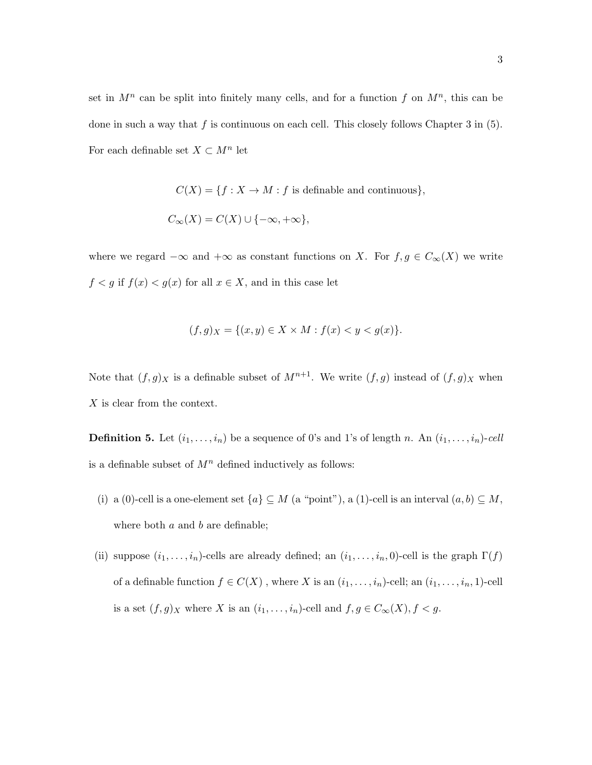set in  $M^n$  can be split into finitely many cells, and for a function f on  $M^n$ , this can be done in such a way that f is continuous on each cell. This closely follows Chapter 3 in  $(5)$ . For each definable set  $X \subset M^n$  let

> $C(X) = \{f : X \to M : f \text{ is definable and continuous}\},\$  $C_{\infty}(X) = C(X) \cup \{-\infty, +\infty\},$

where we regard  $-\infty$  and  $+\infty$  as constant functions on X. For  $f, g \in C_{\infty}(X)$  we write  $f < g$  if  $f(x) < g(x)$  for all  $x \in X,$  and in this case let

$$
(f,g)_X = \{(x,y) \in X \times M : f(x) < y < g(x)\}.
$$

Note that  $(f, g)_X$  is a definable subset of  $M^{n+1}$ . We write  $(f, g)$  instead of  $(f, g)_X$  when X is clear from the context.

**Definition 5.** Let  $(i_1, \ldots, i_n)$  be a sequence of 0's and 1's of length n. An  $(i_1, \ldots, i_n)$ -cell is a definable subset of  $M<sup>n</sup>$  defined inductively as follows:

- (i) a (0)-cell is a one-element set  $\{a\} \subseteq M$  (a "point"), a (1)-cell is an interval  $(a, b) \subseteq M$ , where both  $a$  and  $b$  are definable;
- (ii) suppose  $(i_1, \ldots, i_n)$ -cells are already defined; an  $(i_1, \ldots, i_n, 0)$ -cell is the graph  $\Gamma(f)$ of a definable function  $f\in C(X)$  , where  $X$  is an  $(i_1,\ldots,i_n)$  -cell; an  $(i_1,\ldots,i_n,1)$  -cell is a set  $(f, g)_X$  where X is an  $(i_1, \ldots, i_n)$ -cell and  $f, g \in C_\infty(X)$ ,  $f < g$ .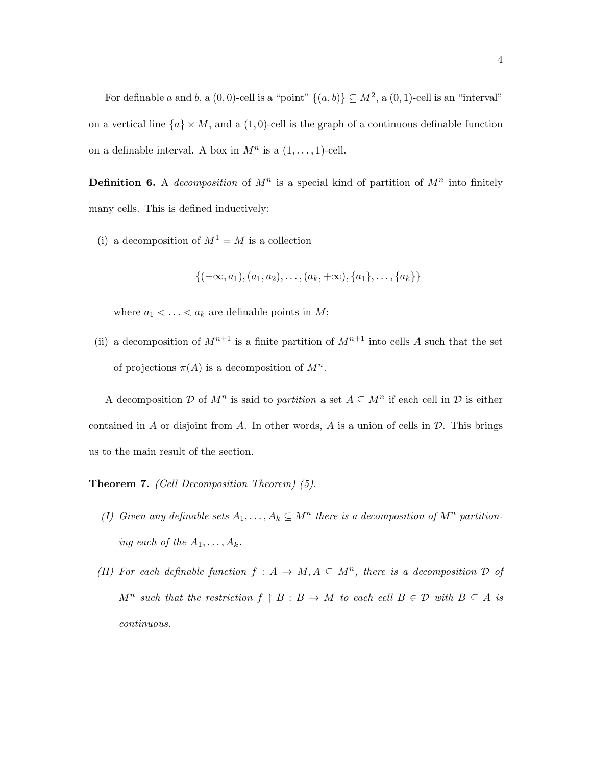For definable a and b, a  $(0,0)$ -cell is a "point"  $\{(a,b)\}\subseteq M^2$ , a  $(0,1)$ -cell is an "interval" on a vertical line  $\{a\} \times M$ , and a  $(1, 0)$ -cell is the graph of a continuous definable function on a definable interval. A box in  $M^n$  is a  $(1,\ldots,1)$ -cell.

**Definition 6.** A *decomposition* of  $M^n$  is a special kind of partition of  $M^n$  into finitely many cells. This is defined inductively:

(i) a decomposition of  $M^1 = M$  is a collection

$$
\{(-\infty, a_1), (a_1, a_2), \ldots, (a_k, +\infty), \{a_1\}, \ldots, \{a_k\}\}\
$$

where  $a_1 < \ldots < a_k$  are definable points in  $M$ ;

(ii) a decomposition of  $M^{n+1}$  is a finite partition of  $M^{n+1}$  into cells A such that the set of projections  $\pi(A)$  is a decomposition of  $M^n$ .

A decomposition  $\mathcal D$  of  $M^n$  is said to partition a set  $A \subseteq M^n$  if each cell in  $\mathcal D$  is either contained in A or disjoint from A. In other words, A is a union of cells in  $\mathcal D$ . This brings us to the main result of the section.

Theorem 7. (Cell Decomposition Theorem) (5).

- (I) Given any definable sets  $A_1, \ldots, A_k \subseteq M^n$  there is a decomposition of  $M^n$  partitioning each of the  $A_1, \ldots, A_k$ .
- (II) For each definable function  $f : A \to M, A \subseteq M^n$ , there is a decomposition  $D$  of  $M^n$  such that the restriction  $f \upharpoonright B : B \to M$  to each cell  $B \in \mathcal{D}$  with  $B \subseteq A$  is continuous.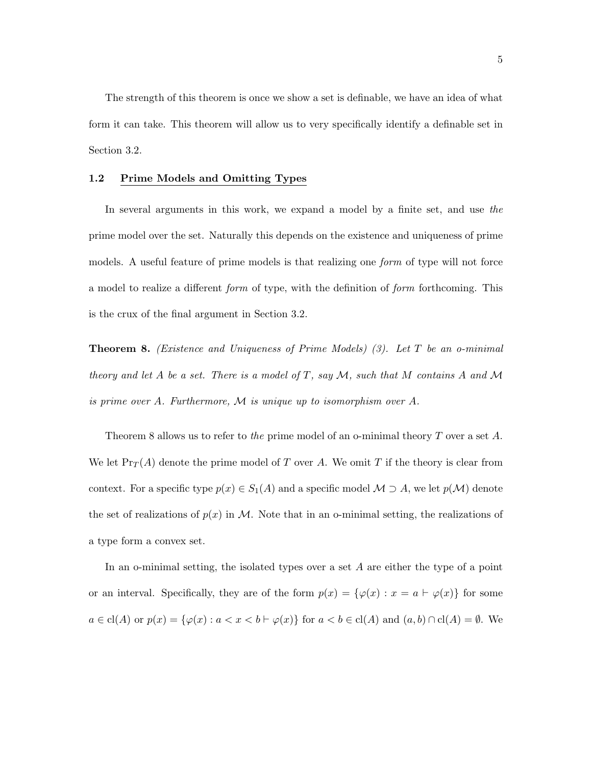The strength of this theorem is once we show a set is definable, we have an idea of what form it can take. This theorem will allow us to very specifically identify a definable set in Section 3.2.

#### 1.2 Prime Models and Omitting Types

In several arguments in this work, we expand a model by a finite set, and use the prime model over the set. Naturally this depends on the existence and uniqueness of prime models. A useful feature of prime models is that realizing one form of type will not force a model to realize a different form of type, with the definition of form forthcoming. This is the crux of the final argument in Section 3.2.

**Theorem 8.** (Existence and Uniqueness of Prime Models) (3). Let T be an o-minimal theory and let A be a set. There is a model of T, say  $\mathcal{M}$ , such that M contains A and M is prime over A. Furthermore, M is unique up to isomorphism over A.

Theorem 8 allows us to refer to the prime model of an o-minimal theory  $T$  over a set  $A$ . We let  $\Pr_T(A)$  denote the prime model of T over A. We omit T if the theory is clear from context. For a specific type  $p(x) \in S_1(A)$  and a specific model  $M \supset A$ , we let  $p(M)$  denote the set of realizations of  $p(x)$  in M. Note that in an o-minimal setting, the realizations of a type form a convex set.

In an o-minimal setting, the isolated types over a set  $A$  are either the type of a point or an interval. Specifically, they are of the form  $p(x) = \{\varphi(x) : x = a \vdash \varphi(x)\}\)$  for some  $a \in \text{cl}(A)$  or  $p(x) = \{\varphi(x) : a < x < b \vdash \varphi(x)\}$  for  $a < b \in \text{cl}(A)$  and  $(a, b) \cap \text{cl}(A) = \emptyset$ . We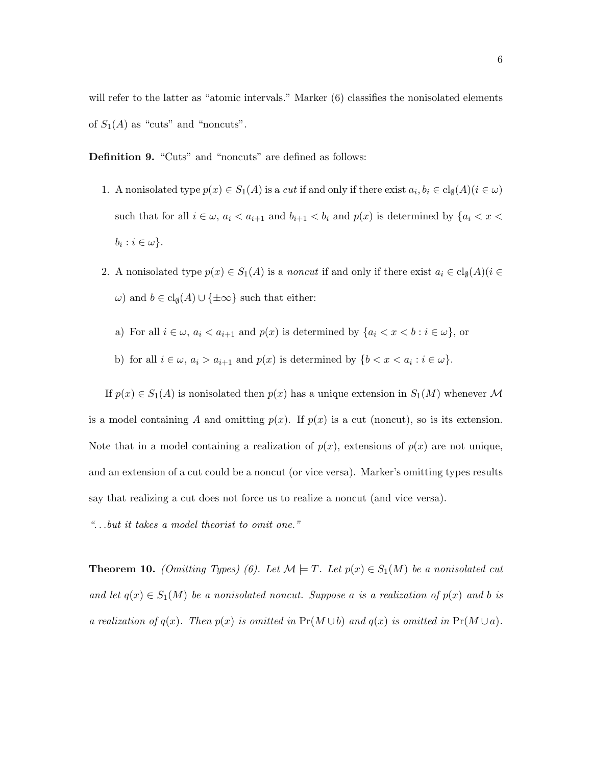will refer to the latter as "atomic intervals." Marker (6) classifies the nonisolated elements of  $S_1(A)$  as "cuts" and "noncuts".

Definition 9. "Cuts" and "noncuts" are defined as follows:

- 1. A nonisolated type  $p(x) \in S_1(A)$  is a cut if and only if there exist  $a_i, b_i \in \text{cl}_{\emptyset}(A)$   $(i \in \omega)$ such that for all  $i \in \omega$ ,  $a_i < a_{i+1}$  and  $b_{i+1} < b_i$  and  $p(x)$  is determined by  $\{a_i < x < a_i\}$  $b_i : i \in \omega$ .
- 2. A nonisolated type  $p(x) \in S_1(A)$  is a noncut if and only if there exist  $a_i \in \text{cl}_{\emptyset}(A)$  ( $i \in$  $\omega$ ) and  $b \in \text{cl}_{\emptyset}(A) \cup \{\pm \infty\}$  such that either:
	- a) For all  $i \in \omega$ ,  $a_i < a_{i+1}$  and  $p(x)$  is determined by  $\{a_i < x < b : i \in \omega\}$ , or
	- b) for all  $i \in \omega$ ,  $a_i > a_{i+1}$  and  $p(x)$  is determined by  $\{b < x < a_i : i \in \omega\}$ .

If  $p(x) \in S_1(A)$  is nonisolated then  $p(x)$  has a unique extension in  $S_1(M)$  whenever M is a model containing A and omitting  $p(x)$ . If  $p(x)$  is a cut (noncut), so is its extension. Note that in a model containing a realization of  $p(x)$ , extensions of  $p(x)$  are not unique, and an extension of a cut could be a noncut (or vice versa). Marker's omitting types results say that realizing a cut does not force us to realize a noncut (and vice versa).

". . .but it takes a model theorist to omit one."

**Theorem 10.** (Omitting Types) (6). Let  $\mathcal{M} \models T$ . Let  $p(x) \in S_1(M)$  be a nonisolated cut and let  $q(x) \in S_1(M)$  be a nonisolated noncut. Suppose a is a realization of  $p(x)$  and b is a realization of  $q(x)$ . Then  $p(x)$  is omitted in  $Pr(M \cup b)$  and  $q(x)$  is omitted in  $Pr(M \cup a)$ .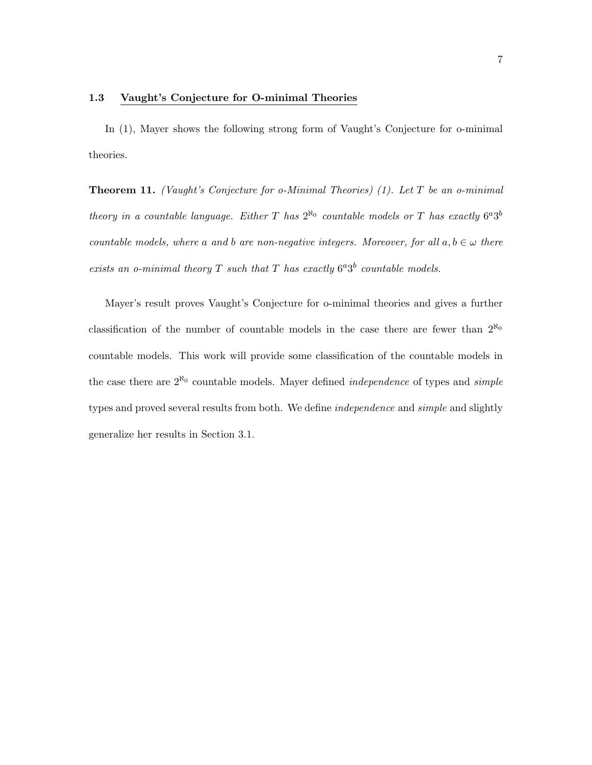#### 1.3 Vaught's Conjecture for O-minimal Theories

In (1), Mayer shows the following strong form of Vaught's Conjecture for o-minimal theories.

**Theorem 11.** (Vaught's Conjecture for  $o$ -Minimal Theories) (1). Let T be an  $o$ -minimal theory in a countable language. Either T has  $2^{\aleph_0}$  countable models or T has exactly  $6^a3^b$ countable models, where a and b are non-negative integers. Moreover, for all  $a, b \in \omega$  there exists an o-minimal theory T such that T has exactly  $6^a3^b$  countable models.

Mayer's result proves Vaught's Conjecture for o-minimal theories and gives a further classification of the number of countable models in the case there are fewer than  $2^{\aleph_0}$ countable models. This work will provide some classification of the countable models in the case there are  $2^{\aleph_0}$  countable models. Mayer defined *independence* of types and *simple* types and proved several results from both. We define independence and simple and slightly generalize her results in Section 3.1.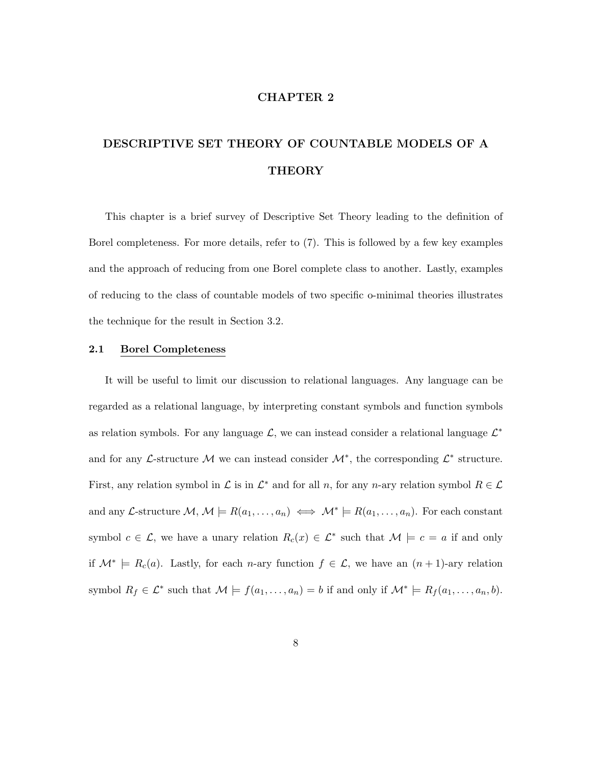#### CHAPTER 2

# DESCRIPTIVE SET THEORY OF COUNTABLE MODELS OF A **THEORY**

This chapter is a brief survey of Descriptive Set Theory leading to the definition of Borel completeness. For more details, refer to (7). This is followed by a few key examples and the approach of reducing from one Borel complete class to another. Lastly, examples of reducing to the class of countable models of two specific o-minimal theories illustrates the technique for the result in Section 3.2.

#### 2.1 Borel Completeness

It will be useful to limit our discussion to relational languages. Any language can be regarded as a relational language, by interpreting constant symbols and function symbols as relation symbols. For any language  $\mathcal{L}$ , we can instead consider a relational language  $\mathcal{L}^*$ and for any  $\mathcal{L}$ -structure M we can instead consider  $\mathcal{M}^*$ , the corresponding  $\mathcal{L}^*$  structure. First, any relation symbol in  $\mathcal L$  is in  $\mathcal L^*$  and for all n, for any n-ary relation symbol  $R \in \mathcal L$ and any L-structure  $\mathcal{M}, \mathcal{M} \models R(a_1, \ldots, a_n) \iff \mathcal{M}^* \models R(a_1, \ldots, a_n)$ . For each constant symbol  $c \in \mathcal{L}$ , we have a unary relation  $R_c(x) \in \mathcal{L}^*$  such that  $\mathcal{M} \models c = a$  if and only if  $\mathcal{M}^* \models R_c(a)$ . Lastly, for each *n*-ary function  $f \in \mathcal{L}$ , we have an  $(n+1)$ -ary relation symbol  $R_f \in \mathcal{L}^*$  such that  $\mathcal{M} \models f(a_1, \ldots, a_n) = b$  if and only if  $\mathcal{M}^* \models R_f(a_1, \ldots, a_n, b)$ .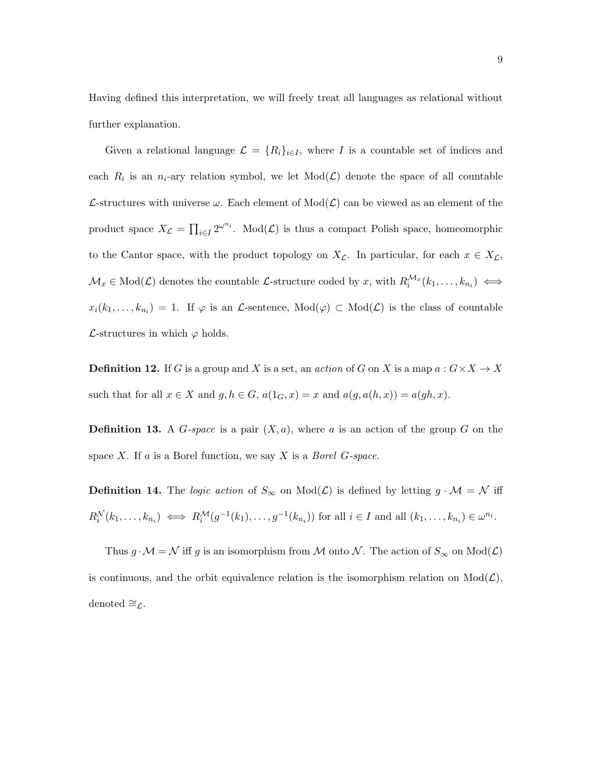Having defined this interpretation, we will freely treat all languages as relational without further explanation.

Given a relational language  $\mathcal{L} = \{R_i\}_{i \in I}$ , where I is a countable set of indices and each  $R_i$  is an  $n_i$ -ary relation symbol, we let  $Mod(\mathcal{L})$  denote the space of all countable L-structures with universe  $\omega$ . Each element of  $Mod(L)$  can be viewed as an element of the product space  $X_{\mathcal{L}} = \prod_{i \in I} 2^{\omega^{n_i}}$ . Mod $(\mathcal{L})$  is thus a compact Polish space, homeomorphic to the Cantor space, with the product topology on  $X_{\mathcal{L}}$ . In particular, for each  $x \in X_{\mathcal{L}}$ ,  $\mathcal{M}_x \in \text{Mod}(\mathcal{L})$  denotes the countable  $\mathcal{L}\text{-structure coded by } x$ , with  $R_i^{\mathcal{M}_x}(k_1,\ldots,k_{n_i}) \iff$  $x_i(k_1,\ldots,k_{n_i}) = 1$ . If  $\varphi$  is an  $\mathcal{L}$ -sentence,  $Mod(\varphi) \subset Mod(\mathcal{L})$  is the class of countable  $\mathcal{L}\text{-structures in which } \varphi \text{ holds.}$ 

**Definition 12.** If G is a group and X is a set, an *action* of G on X is a map  $a: G \times X \to X$ such that for all  $x \in X$  and  $g, h \in G$ ,  $a(1_G, x) = x$  and  $a(g, a(h, x)) = a(gh, x)$ .

**Definition 13.** A G-space is a pair  $(X, a)$ , where a is an action of the group G on the space  $X$ . If  $a$  is a Borel function, we say  $X$  is a *Borel G-space*.

**Definition 14.** The *logic action* of  $S_{\infty}$  on  $Mod(\mathcal{L})$  is defined by letting  $g \cdot \mathcal{M} = \mathcal{N}$  iff  $R_i^{\mathcal{N}}(k_1,\ldots,k_{n_i}) \iff R_i^{\mathcal{M}}(g^{-1}(k_1),\ldots,g^{-1}(k_{n_i}))$  for all  $i \in I$  and all  $(k_1,\ldots,k_{n_i}) \in \omega^{n_i}$ .

Thus  $g \cdot \mathcal{M} = \mathcal{N}$  iff g is an isomorphism from  $\mathcal M$  onto  $\mathcal N$ . The action of  $S_{\infty}$  on  $\text{Mod}(\mathcal L)$ is continuous, and the orbit equivalence relation is the isomorphism relation on  $Mod(\mathcal{L})$ , denoted  $\cong_{\mathcal{L}}$ .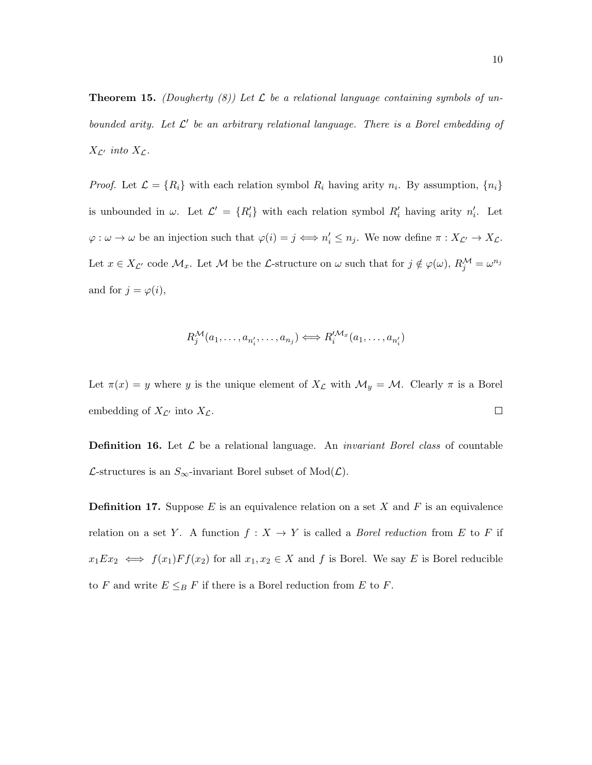**Theorem 15.** (Dougherty (8)) Let  $\mathcal{L}$  be a relational language containing symbols of unbounded arity. Let  $\mathcal{L}'$  be an arbitrary relational language. There is a Borel embedding of  $X_{\mathcal{L}'}$  into  $X_{\mathcal{L}}$ .

*Proof.* Let  $\mathcal{L} = \{R_i\}$  with each relation symbol  $R_i$  having arity  $n_i$ . By assumption,  $\{n_i\}$ is unbounded in  $\omega$ . Let  $\mathcal{L}' = \{R'_i\}$  with each relation symbol  $R'_i$  having arity  $n'_i$ . Let  $\varphi: \omega \to \omega$  be an injection such that  $\varphi(i) = j \iff n'_i \leq n_j$ . We now define  $\pi: X_{\mathcal{L}'} \to X_{\mathcal{L}}$ . Let  $x \in X_{\mathcal{L}'}$  code  $\mathcal{M}_x$ . Let  $\mathcal M$  be the L-structure on  $\omega$  such that for  $j \notin \varphi(\omega)$ ,  $R_j^{\mathcal{M}} = \omega^{n_j}$ and for  $j = \varphi(i)$ ,

$$
R_j^{\mathcal{M}}(a_1,\ldots,a_{n'_i},\ldots,a_{n_j}) \Longleftrightarrow R_i^{\mathcal{M}_x}(a_1,\ldots,a_{n'_i})
$$

Let  $\pi(x) = y$  where y is the unique element of  $X_{\mathcal{L}}$  with  $\mathcal{M}_y = \mathcal{M}$ . Clearly  $\pi$  is a Borel  $\Box$ embedding of  $X_{\mathcal{L}'}$  into  $X_{\mathcal{L}}$ .

**Definition 16.** Let  $\mathcal{L}$  be a relational language. An *invariant Borel class* of countable *L*-structures is an  $S_{\infty}$ -invariant Borel subset of Mod(*L*).

**Definition 17.** Suppose  $E$  is an equivalence relation on a set  $X$  and  $F$  is an equivalence relation on a set Y. A function  $f : X \to Y$  is called a *Borel reduction* from E to F if  $x_1Ex_2 \iff f(x_1)Ff(x_2)$  for all  $x_1, x_2 \in X$  and f is Borel. We say E is Borel reducible to F and write  $E \leq_B F$  if there is a Borel reduction from E to F.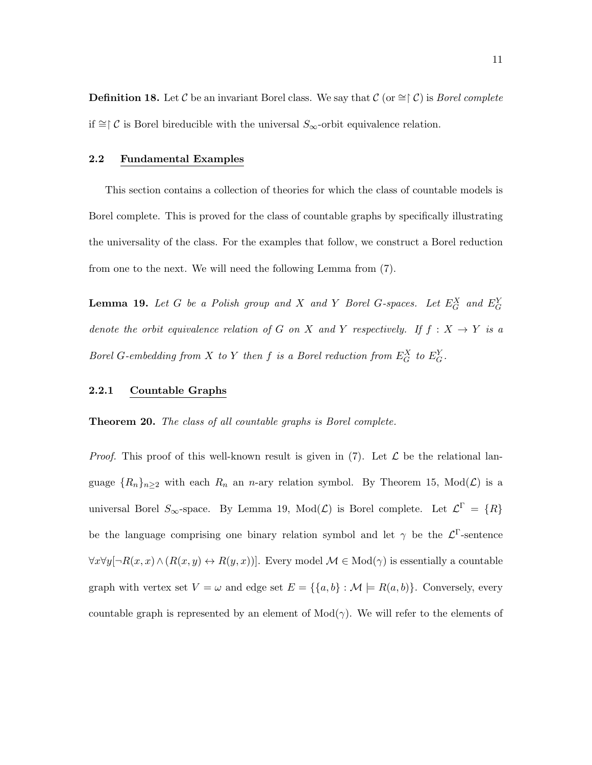**Definition 18.** Let C be an invariant Borel class. We say that C (or  $\cong \upharpoonright C$ ) is *Borel complete* if ≅ $\subset \mathcal{C}$  is Borel bireducible with the universal  $S_{\infty}$ -orbit equivalence relation.

#### 2.2 Fundamental Examples

This section contains a collection of theories for which the class of countable models is Borel complete. This is proved for the class of countable graphs by specifically illustrating the universality of the class. For the examples that follow, we construct a Borel reduction from one to the next. We will need the following Lemma from (7).

**Lemma 19.** Let G be a Polish group and X and Y Borel G-spaces. Let  $E_G^X$  and  $E_G^Y$ denote the orbit equivalence relation of G on X and Y respectively. If  $f : X \rightarrow Y$  is a Borel G-embedding from X to Y then f is a Borel reduction from  $E_G^X$  to  $E_G^Y$ .

#### 2.2.1 Countable Graphs

**Theorem 20.** The class of all countable graphs is Borel complete.

*Proof.* This proof of this well-known result is given in (7). Let  $\mathcal L$  be the relational language  $\{R_n\}_{n\geq 2}$  with each  $R_n$  an n-ary relation symbol. By Theorem 15, Mod( $\mathcal{L}$ ) is a universal Borel  $S_{\infty}$ -space. By Lemma 19, Mod $(\mathcal{L})$  is Borel complete. Let  $\mathcal{L}^{\Gamma} = \{R\}$ be the language comprising one binary relation symbol and let  $\gamma$  be the  $\mathcal{L}^{\Gamma}$ -sentence  $\forall x \forall y [\neg R(x, x) \land (R(x, y) \leftrightarrow R(y, x))]$ . Every model  $\mathcal{M} \in Mod(\gamma)$  is essentially a countable graph with vertex set  $V = \omega$  and edge set  $E = \{\{a, b\} : \mathcal{M} \models R(a, b)\}\$ . Conversely, every countable graph is represented by an element of  $Mod(\gamma)$ . We will refer to the elements of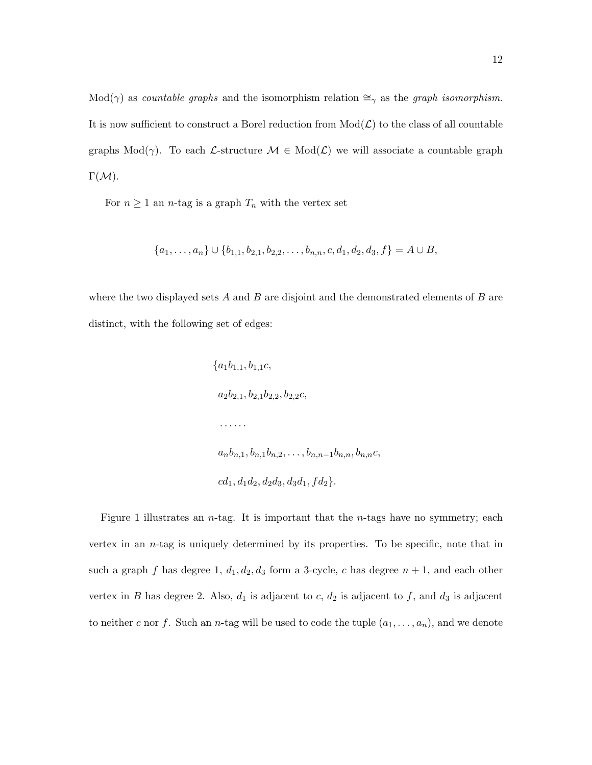Mod( $\gamma$ ) as countable graphs and the isomorphism relation  $\cong_{\gamma}$  as the graph isomorphism. It is now sufficient to construct a Borel reduction from  $Mod(\mathcal{L})$  to the class of all countable graphs Mod( $\gamma$ ). To each L-structure  $\mathcal{M} \in Mod(\mathcal{L})$  we will associate a countable graph  $\Gamma(\mathcal{M}).$ 

For  $n \geq 1$  an *n*-tag is a graph  $T_n$  with the vertex set

$$
\{a_1, \ldots, a_n\} \cup \{b_{1,1}, b_{2,1}, b_{2,2}, \ldots, b_{n,n}, c, d_1, d_2, d_3, f\} = A \cup B,
$$

where the two displayed sets  $A$  and  $B$  are disjoint and the demonstrated elements of  $B$  are distinct, with the following set of edges:

$$
\{a_1b_{1,1}, b_{1,1}c,
$$
  
\n $a_2b_{2,1}, b_{2,1}b_{2,2}, b_{2,2}c,$   
\n........  
\n $a_nb_{n,1}, b_{n,1}b_{n,2},..., b_{n,n-1}b_{n,n}, b_{n,n}c,$   
\n $cd_1, d_1d_2, d_2d_3, d_3d_1, fd_2\}.$ 

Figure 1 illustrates an *n*-tag. It is important that the *n*-tags have no symmetry; each vertex in an  $n$ -tag is uniquely determined by its properties. To be specific, note that in such a graph f has degree 1,  $d_1, d_2, d_3$  form a 3-cycle, c has degree  $n + 1$ , and each other vertex in B has degree 2. Also,  $d_1$  is adjacent to c,  $d_2$  is adjacent to f, and  $d_3$  is adjacent to neither c nor f. Such an n-tag will be used to code the tuple  $(a_1, \ldots, a_n)$ , and we denote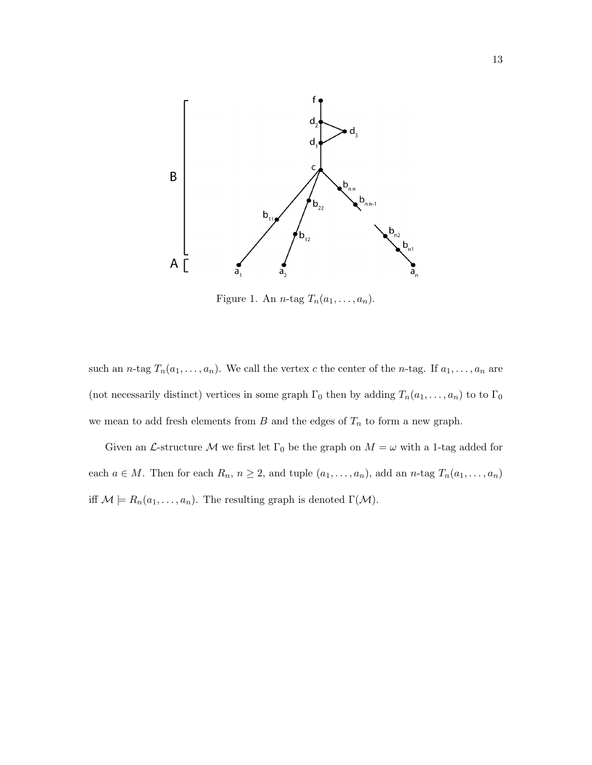

Figure 1. An *n*-tag  $T_n(a_1, \ldots, a_n)$ .

such an n-tag  $T_n(a_1, \ldots, a_n)$ . We call the vertex c the center of the n-tag. If  $a_1, \ldots, a_n$  are (not necessarily distinct) vertices in some graph  $\Gamma_0$  then by adding  $T_n(a_1, \ldots, a_n)$  to to  $\Gamma_0$ we mean to add fresh elements from  $B$  and the edges of  $T_n$  to form a new graph.

Given an  $\mathcal L$ -structure  $\mathcal M$  we first let  $\Gamma_0$  be the graph on  $M = \omega$  with a 1-tag added for each  $a \in M$ . Then for each  $R_n$ ,  $n \geq 2$ , and tuple  $(a_1, \ldots, a_n)$ , add an n-tag  $T_n(a_1, \ldots, a_n)$ iff  $\mathcal{M} \models R_n(a_1, \ldots, a_n)$ . The resulting graph is denoted  $\Gamma(\mathcal{M})$ .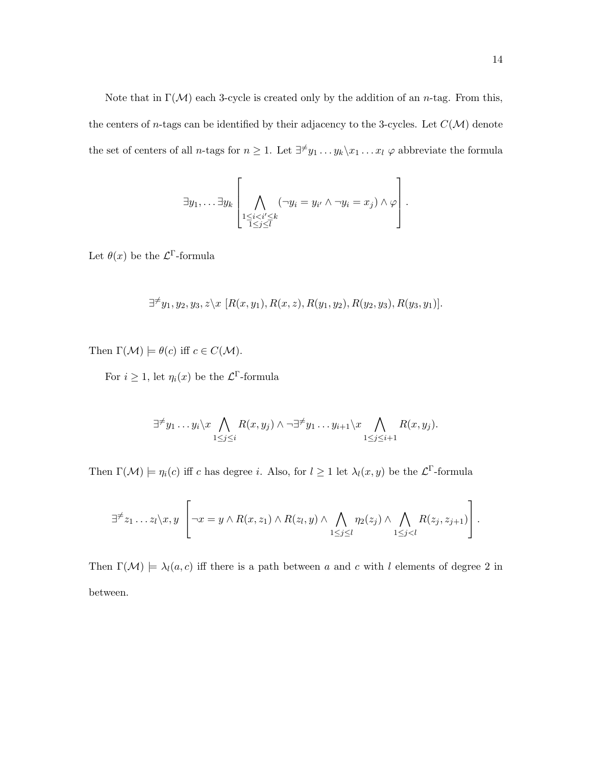Note that in  $\Gamma(\mathcal{M})$  each 3-cycle is created only by the addition of an *n*-tag. From this, the centers of *n*-tags can be identified by their adjacency to the 3-cycles. Let  $C(\mathcal{M})$  denote the set of centers of all *n*-tags for  $n \geq 1$ . Let  $\exists^{\neq} y_1 \dots y_k \setminus x_1 \dots x_l$   $\varphi$  abbreviate the formula

$$
\exists y_1, \ldots \exists y_k \left[ \bigwedge_{\substack{1 \leq i < i' \leq k \\ 1 \leq j \leq l}} (\neg y_i = y_{i'} \land \neg y_i = x_j) \land \varphi \right].
$$

Let  $\theta(x)$  be the  $\mathcal{L}^{\Gamma}$ -formula

$$
\exists^{\neq} y_1, y_2, y_3, z \setminus x \ [R(x, y_1), R(x, z), R(y_1, y_2), R(y_2, y_3), R(y_3, y_1)].
$$

Then  $\Gamma(\mathcal{M}) \models \theta(c)$  iff  $c \in C(\mathcal{M})$ .

For  $i \geq 1$ , let  $\eta_i(x)$  be the  $\mathcal{L}^{\Gamma}$ -formula

$$
\exists^{\neq} y_1 \ldots y_i \setminus x \bigwedge_{1 \leq j \leq i} R(x, y_j) \land \neg \exists^{\neq} y_1 \ldots y_{i+1} \setminus x \bigwedge_{1 \leq j \leq i+1} R(x, y_j).
$$

Then  $\Gamma(\mathcal{M}) \models \eta_i(c)$  iff c has degree i. Also, for  $l \geq 1$  let  $\lambda_l(x, y)$  be the  $\mathcal{L}^{\Gamma}$ -formula

$$
\exists^{\neq} z_1 \ldots z_l \setminus x, y \left[ \neg x = y \land R(x, z_1) \land R(z_l, y) \land \bigwedge_{1 \leq j \leq l} \eta_2(z_j) \land \bigwedge_{1 \leq j < l} R(z_j, z_{j+1}) \right].
$$

Then  $\Gamma(\mathcal{M}) \models \lambda_l(a, c)$  iff there is a path between a and c with l elements of degree 2 in between.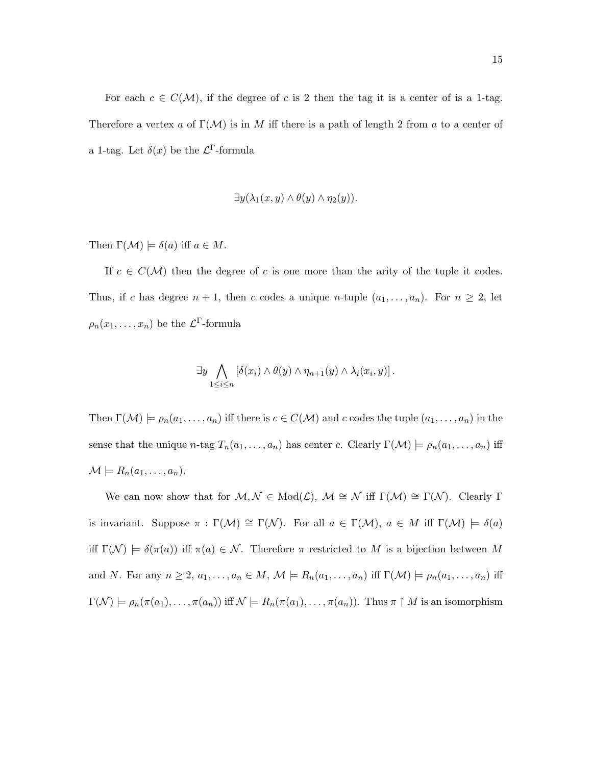For each  $c \in C(\mathcal{M})$ , if the degree of c is 2 then the tag it is a center of is a 1-tag. Therefore a vertex a of  $\Gamma(\mathcal{M})$  is in M iff there is a path of length 2 from a to a center of a 1-tag. Let  $\delta(x)$  be the  $\mathcal{L}^{\Gamma}$ -formula

$$
\exists y(\lambda_1(x,y)\land\theta(y)\land\eta_2(y)).
$$

Then  $\Gamma(\mathcal{M}) \models \delta(a)$  iff  $a \in M$ .

If  $c \in C(\mathcal{M})$  then the degree of c is one more than the arity of the tuple it codes. Thus, if c has degree  $n + 1$ , then c codes a unique n-tuple  $(a_1, \ldots, a_n)$ . For  $n \geq 2$ , let  $\rho_n(x_1,\ldots,x_n)$  be the  $\mathcal{L}^{\Gamma}$ -formula

$$
\exists y \bigwedge_{1 \leq i \leq n} [\delta(x_i) \wedge \theta(y) \wedge \eta_{n+1}(y) \wedge \lambda_i(x_i, y)].
$$

Then  $\Gamma(\mathcal{M}) \models \rho_n(a_1, \ldots, a_n)$  iff there is  $c \in C(\mathcal{M})$  and c codes the tuple  $(a_1, \ldots, a_n)$  in the sense that the unique n-tag  $T_n(a_1, \ldots, a_n)$  has center c. Clearly  $\Gamma(\mathcal{M}) \models \rho_n(a_1, \ldots, a_n)$  iff  $\mathcal{M} \models R_n(a_1, \ldots, a_n).$ 

We can now show that for  $M, \mathcal{N} \in Mod(\mathcal{L}), \mathcal{M} \cong \mathcal{N}$  iff  $\Gamma(\mathcal{M}) \cong \Gamma(\mathcal{N})$ . Clearly  $\Gamma$ is invariant. Suppose  $\pi : \Gamma(\mathcal{M}) \cong \Gamma(\mathcal{N})$ . For all  $a \in \Gamma(\mathcal{M})$ ,  $a \in M$  iff  $\Gamma(\mathcal{M}) \models \delta(a)$ iff  $\Gamma(\mathcal{N}) \models \delta(\pi(a))$  iff  $\pi(a) \in \mathcal{N}$ . Therefore  $\pi$  restricted to M is a bijection between M and N. For any  $n \geq 2$ ,  $a_1, \ldots, a_n \in M$ ,  $\mathcal{M} \models R_n(a_1, \ldots, a_n)$  iff  $\Gamma(\mathcal{M}) \models \rho_n(a_1, \ldots, a_n)$  iff  $\Gamma(\mathcal{N}) \models \rho_n(\pi(a_1), \ldots, \pi(a_n))$  iff  $\mathcal{N} \models R_n(\pi(a_1), \ldots, \pi(a_n))$ . Thus  $\pi \restriction M$  is an isomorphism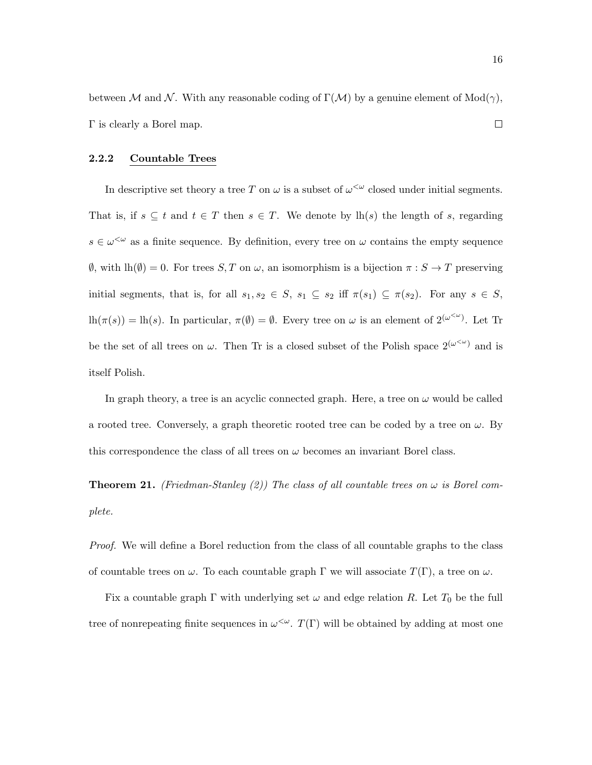between M and N. With any reasonable coding of  $\Gamma(\mathcal{M})$  by a genuine element of Mod( $\gamma$ ),  $\Box$ Γ is clearly a Borel map.

#### 2.2.2 Countable Trees

In descriptive set theory a tree T on  $\omega$  is a subset of  $\omega^{\langle \omega \rangle}$  closed under initial segments. That is, if  $s \subseteq t$  and  $t \in T$  then  $s \in T$ . We denote by  $lh(s)$  the length of s, regarding  $s \in \omega^{\leq \omega}$  as a finite sequence. By definition, every tree on  $\omega$  contains the empty sequence  $\emptyset$ , with  $lh(\emptyset) = 0$ . For trees  $S, T$  on  $\omega$ , an isomorphism is a bijection  $\pi : S \to T$  preserving initial segments, that is, for all  $s_1, s_2 \in S$ ,  $s_1 \subseteq s_2$  iff  $\pi(s_1) \subseteq \pi(s_2)$ . For any  $s \in S$ ,  $\ln(\pi(s)) = \ln(s)$ . In particular,  $\pi(\emptyset) = \emptyset$ . Every tree on  $\omega$  is an element of  $2^{(\omega^{<\omega})}$ . Let Tr be the set of all trees on  $\omega$ . Then Tr is a closed subset of the Polish space  $2^{(\omega^{<\omega})}$  and is itself Polish.

In graph theory, a tree is an acyclic connected graph. Here, a tree on  $\omega$  would be called a rooted tree. Conversely, a graph theoretic rooted tree can be coded by a tree on  $\omega$ . By this correspondence the class of all trees on  $\omega$  becomes an invariant Borel class.

**Theorem 21.** (Friedman-Stanley (2)) The class of all countable trees on  $\omega$  is Borel complete.

Proof. We will define a Borel reduction from the class of all countable graphs to the class of countable trees on  $\omega$ . To each countable graph  $\Gamma$  we will associate  $T(\Gamma)$ , a tree on  $\omega$ .

Fix a countable graph  $\Gamma$  with underlying set  $\omega$  and edge relation R. Let  $T_0$  be the full tree of nonrepeating finite sequences in  $\omega^{\langle \omega\rangle}$ .  $T(\Gamma)$  will be obtained by adding at most one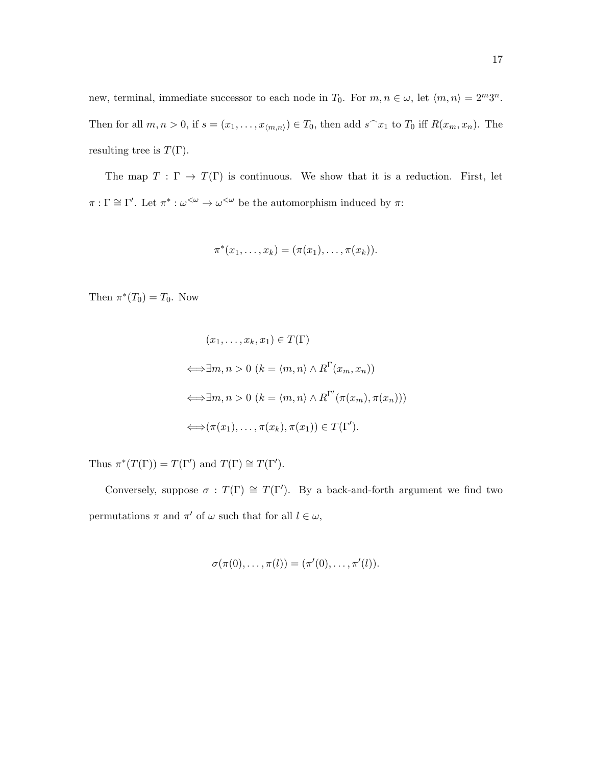new, terminal, immediate successor to each node in  $T_0$ . For  $m, n \in \omega$ , let  $\langle m, n \rangle = 2^m 3^n$ . Then for all  $m, n > 0$ , if  $s = (x_1, \ldots, x_{\langle m,n \rangle}) \in T_0$ , then add  $s^x_1$  to  $T_0$  iff  $R(x_m, x_n)$ . The resulting tree is  $T(\Gamma)$ .

The map  $T : \Gamma \to T(\Gamma)$  is continuous. We show that it is a reduction. First, let  $\pi : \Gamma \cong \Gamma'.$  Let  $\pi^* : \omega^{\leq \omega} \to \omega^{\leq \omega}$  be the automorphism induced by  $\pi$ :

$$
\pi^*(x_1,\ldots,x_k)=(\pi(x_1),\ldots,\pi(x_k)).
$$

Then  $\pi^*(T_0) = T_0$ . Now

$$
(x_1, \ldots, x_k, x_1) \in T(\Gamma)
$$
  
\n
$$
\iff \exists m, n > 0 \ (k = \langle m, n \rangle \land R^{\Gamma}(x_m, x_n))
$$
  
\n
$$
\iff \exists m, n > 0 \ (k = \langle m, n \rangle \land R^{\Gamma'}(\pi(x_m), \pi(x_n)))
$$
  
\n
$$
\iff (\pi(x_1), \ldots, \pi(x_k), \pi(x_1)) \in T(\Gamma').
$$

Thus  $\pi^*(T(\Gamma)) = T(\Gamma')$  and  $T(\Gamma) \cong T(\Gamma').$ 

Conversely, suppose  $\sigma : T(\Gamma) \cong T(\Gamma')$ . By a back-and-forth argument we find two permutations  $\pi$  and  $\pi'$  of  $\omega$  such that for all  $l \in \omega$ ,

$$
\sigma(\pi(0), \ldots, \pi(l)) = (\pi'(0), \ldots, \pi'(l)).
$$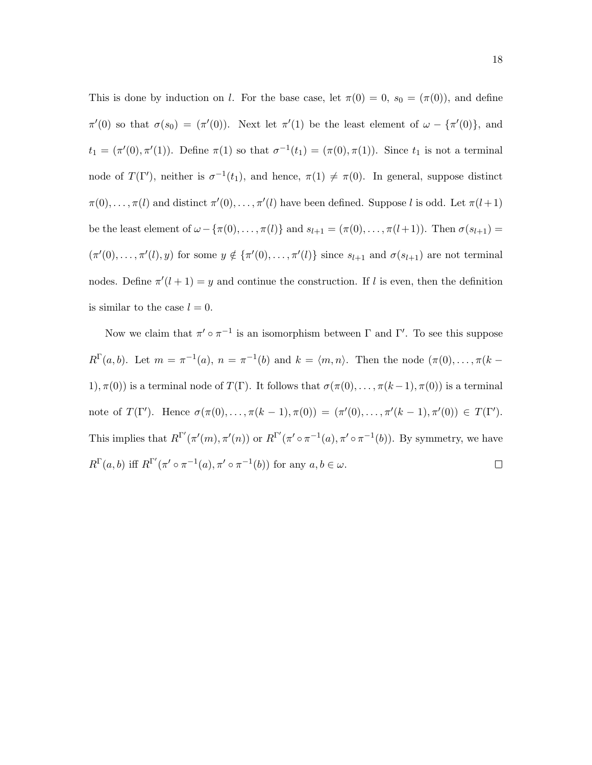This is done by induction on l. For the base case, let  $\pi(0) = 0$ ,  $s_0 = (\pi(0))$ , and define  $\pi'(0)$  so that  $\sigma(s_0) = (\pi'(0))$ . Next let  $\pi'(1)$  be the least element of  $\omega - {\pi'(0)}$ , and  $t_1 = (\pi'(0), \pi'(1))$ . Define  $\pi(1)$  so that  $\sigma^{-1}(t_1) = (\pi(0), \pi(1))$ . Since  $t_1$  is not a terminal node of  $T(\Gamma')$ , neither is  $\sigma^{-1}(t_1)$ , and hence,  $\pi(1) \neq \pi(0)$ . In general, suppose distinct  $\pi(0), \ldots, \pi(l)$  and distinct  $\pi'(0), \ldots, \pi'(l)$  have been defined. Suppose l is odd. Let  $\pi(l+1)$ be the least element of  $\omega - {\pi(0), \ldots, \pi(l)}$  and  $s_{l+1} = (\pi(0), \ldots, \pi(l+1))$ . Then  $\sigma(s_{l+1}) =$  $(\pi'(0), \ldots, \pi'(l), y)$  for some  $y \notin {\{\pi'(0), \ldots, \pi'(l)\}}$  since  $s_{l+1}$  and  $\sigma(s_{l+1})$  are not terminal nodes. Define  $\pi'(l+1) = y$  and continue the construction. If l is even, then the definition is similar to the case  $l = 0$ .

Now we claim that  $\pi' \circ \pi^{-1}$  is an isomorphism between  $\Gamma$  and  $\Gamma'$ . To see this suppose  $R^{\Gamma}(a, b)$ . Let  $m = \pi^{-1}(a), n = \pi^{-1}(b)$  and  $k = \langle m, n \rangle$ . Then the node  $(\pi(0), \ldots, \pi(k-1))$ 1),  $\pi(0)$  is a terminal node of  $T(\Gamma)$ . It follows that  $\sigma(\pi(0), \ldots, \pi(k-1), \pi(0))$  is a terminal note of  $T(\Gamma')$ . Hence  $\sigma(\pi(0), \ldots, \pi(k-1), \pi(0)) = (\pi'(0), \ldots, \pi'(k-1), \pi'(0)) \in T(\Gamma')$ . This implies that  $R^{\Gamma'}(\pi'(m), \pi'(n))$  or  $R^{\Gamma'}(\pi' \circ \pi^{-1}(a), \pi' \circ \pi^{-1}(b))$ . By symmetry, we have  $R^{\Gamma}(a, b)$  iff  $R^{\Gamma'}(\pi' \circ \pi^{-1}(a), \pi' \circ \pi^{-1}(b))$  for any  $a, b \in \omega$ .  $\Box$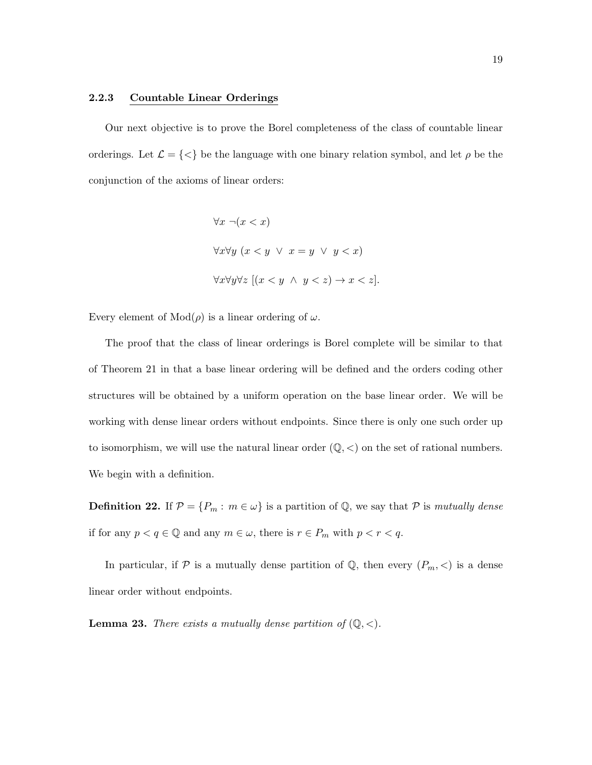#### 2.2.3 Countable Linear Orderings

Our next objective is to prove the Borel completeness of the class of countable linear orderings. Let  $\mathcal{L} = \{\langle\}\$ be the language with one binary relation symbol, and let  $\rho$  be the conjunction of the axioms of linear orders:

$$
\forall x \ \neg(x < x)
$$
\n
$$
\forall x \forall y \ (x < y \ \lor \ x = y \ \lor \ y < x)
$$
\n
$$
\forall x \forall y \forall z \ [(x < y \ \land \ y < z) \rightarrow x < z].
$$

Every element of  $Mod(\rho)$  is a linear ordering of  $\omega$ .

The proof that the class of linear orderings is Borel complete will be similar to that of Theorem 21 in that a base linear ordering will be defined and the orders coding other structures will be obtained by a uniform operation on the base linear order. We will be working with dense linear orders without endpoints. Since there is only one such order up to isomorphism, we will use the natural linear order  $(\mathbb{Q}, <)$  on the set of rational numbers. We begin with a definition.

**Definition 22.** If  $\mathcal{P} = \{P_m : m \in \omega\}$  is a partition of Q, we say that  $\mathcal{P}$  is mutually dense if for any  $p < q \in \mathbb{Q}$  and any  $m \in \omega$ , there is  $r \in P_m$  with  $p < r < q$ .

In particular, if  $P$  is a mutually dense partition of  $\mathbb{Q}$ , then every  $(P_m, \leq)$  is a dense linear order without endpoints.

**Lemma 23.** There exists a mutually dense partition of  $(\mathbb{Q}, <)$ .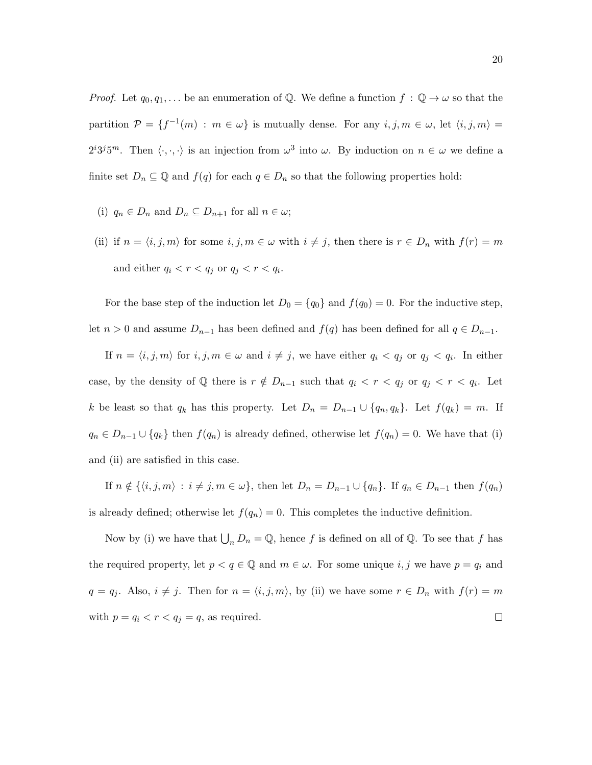*Proof.* Let  $q_0, q_1, \ldots$  be an enumeration of Q. We define a function  $f : \mathbb{Q} \to \omega$  so that the partition  $\mathcal{P} = \{f^{-1}(m) : m \in \omega\}$  is mutually dense. For any  $i, j, m \in \omega$ , let  $\langle i, j, m \rangle =$  $2^{i}3^{j}5^{m}$ . Then  $\langle \cdot, \cdot, \cdot \rangle$  is an injection from  $\omega^{3}$  into  $\omega$ . By induction on  $n \in \omega$  we define a finite set  $D_n \subseteq \mathbb{Q}$  and  $f(q)$  for each  $q \in D_n$  so that the following properties hold:

- (i)  $q_n \in D_n$  and  $D_n \subseteq D_{n+1}$  for all  $n \in \omega$ ;
- (ii) if  $n = \langle i, j, m \rangle$  for some  $i, j, m \in \omega$  with  $i \neq j$ , then there is  $r \in D_n$  with  $f(r) = m$ and either  $q_i < r < q_j$  or  $q_j < r < q_i$ .

For the base step of the induction let  $D_0 = \{q_0\}$  and  $f(q_0) = 0$ . For the inductive step, let  $n > 0$  and assume  $D_{n-1}$  has been defined and  $f(q)$  has been defined for all  $q \in D_{n-1}$ .

If  $n = \langle i, j, m \rangle$  for  $i, j, m \in \omega$  and  $i \neq j$ , we have either  $q_i < q_j$  or  $q_j < q_i$ . In either case, by the density of  $\mathbb Q$  there is  $r \notin D_{n-1}$  such that  $q_i < r < q_j$  or  $q_j < r < q_i$ . Let k be least so that  $q_k$  has this property. Let  $D_n = D_{n-1} \cup \{q_n, q_k\}$ . Let  $f(q_k) = m$ . If  $q_n \in D_{n-1} \cup \{q_k\}$  then  $f(q_n)$  is already defined, otherwise let  $f(q_n) = 0$ . We have that (i) and (ii) are satisfied in this case.

If  $n \notin \{(i, j, m) : i \neq j, m \in \omega\}$ , then let  $D_n = D_{n-1} \cup \{q_n\}$ . If  $q_n \in D_{n-1}$  then  $f(q_n)$ is already defined; otherwise let  $f(q_n) = 0$ . This completes the inductive definition.

Now by (i) we have that  $\bigcup_n D_n = \mathbb{Q}$ , hence f is defined on all of  $\mathbb{Q}$ . To see that f has the required property, let  $p < q \in \mathbb{Q}$  and  $m \in \omega$ . For some unique  $i, j$  we have  $p = q_i$  and  $q = q_j$ . Also,  $i \neq j$ . Then for  $n = \langle i, j, m \rangle$ , by (ii) we have some  $r \in D_n$  with  $f(r) = m$ with  $p = q_i < r < q_j = q$ , as required.  $\Box$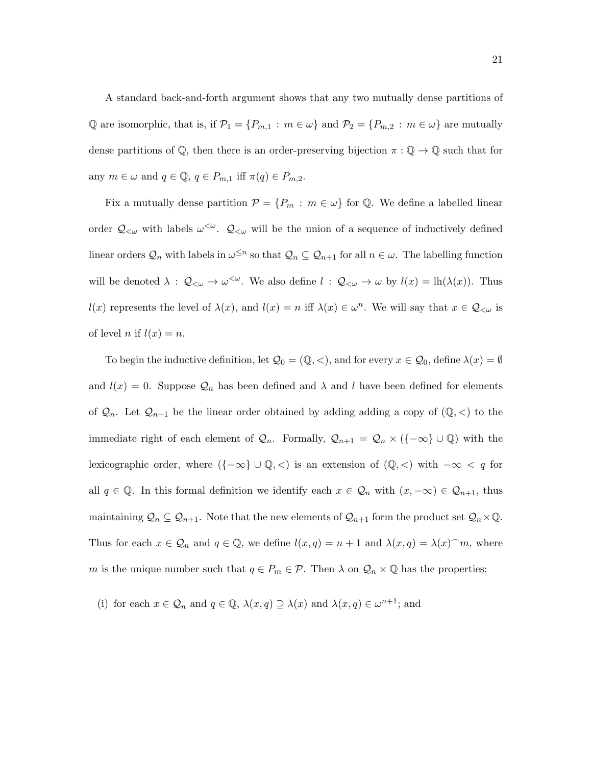A standard back-and-forth argument shows that any two mutually dense partitions of Q are isomorphic, that is, if  $\mathcal{P}_1 = \{P_{m,1} : m \in \omega\}$  and  $\mathcal{P}_2 = \{P_{m,2} : m \in \omega\}$  are mutually dense partitions of  $\mathbb{Q}$ , then there is an order-preserving bijection  $\pi : \mathbb{Q} \to \mathbb{Q}$  such that for any  $m \in \omega$  and  $q \in \mathbb{Q}$ ,  $q \in P_{m,1}$  iff  $\pi(q) \in P_{m,2}$ .

Fix a mutually dense partition  $\mathcal{P} = \{P_m : m \in \omega\}$  for Q. We define a labelled linear order  $Q_{\lt}\omega$  with labels  $\omega^{\lt}\omega$ .  $Q_{\lt}\omega$  will be the union of a sequence of inductively defined linear orders  $\mathcal{Q}_n$  with labels in  $\omega^{\leq n}$  so that  $\mathcal{Q}_n \subseteq \mathcal{Q}_{n+1}$  for all  $n \in \omega$ . The labelling function will be denoted  $\lambda$  :  $\mathcal{Q}_{<\omega} \to \omega^{\lt;\omega}$ . We also define  $l$  :  $\mathcal{Q}_{<\omega} \to \omega$  by  $l(x) = \text{lh}(\lambda(x))$ . Thus  $l(x)$  represents the level of  $\lambda(x)$ , and  $l(x) = n$  iff  $\lambda(x) \in \omega^n$ . We will say that  $x \in \mathcal{Q}_{\leq \omega}$  is of level *n* if  $l(x) = n$ .

To begin the inductive definition, let  $\mathcal{Q}_0 = (\mathbb{Q}, <)$ , and for every  $x \in \mathcal{Q}_0$ , define  $\lambda(x) = \emptyset$ and  $l(x) = 0$ . Suppose  $\mathcal{Q}_n$  has been defined and  $\lambda$  and l have been defined for elements of  $\mathcal{Q}_n$ . Let  $\mathcal{Q}_{n+1}$  be the linear order obtained by adding adding a copy of  $(\mathbb{Q}, \leq)$  to the immediate right of each element of  $\mathcal{Q}_n$ . Formally,  $\mathcal{Q}_{n+1} = \mathcal{Q}_n \times (\{-\infty\} \cup \mathbb{Q})$  with the lexicographic order, where  $({-\infty} \cup \mathbb{Q}, <)$  is an extension of  $(\mathbb{Q}, <)$  with  $-\infty < q$  for all  $q \in \mathbb{Q}$ . In this formal definition we identify each  $x \in \mathcal{Q}_n$  with  $(x, -\infty) \in \mathcal{Q}_{n+1}$ , thus maintaining  $\mathcal{Q}_n \subseteq \mathcal{Q}_{n+1}$ . Note that the new elements of  $\mathcal{Q}_{n+1}$  form the product set  $\mathcal{Q}_n \times \mathbb{Q}$ . Thus for each  $x \in \mathcal{Q}_n$  and  $q \in \mathbb{Q}$ , we define  $l(x, q) = n + 1$  and  $\lambda(x, q) = \lambda(x)$  m, where m is the unique number such that  $q \in P_m \in \mathcal{P}$ . Then  $\lambda$  on  $\mathcal{Q}_n \times \mathbb{Q}$  has the properties:

(i) for each  $x \in \mathcal{Q}_n$  and  $q \in \mathbb{Q}$ ,  $\lambda(x,q) \supseteq \lambda(x)$  and  $\lambda(x,q) \in \omega^{n+1}$ ; and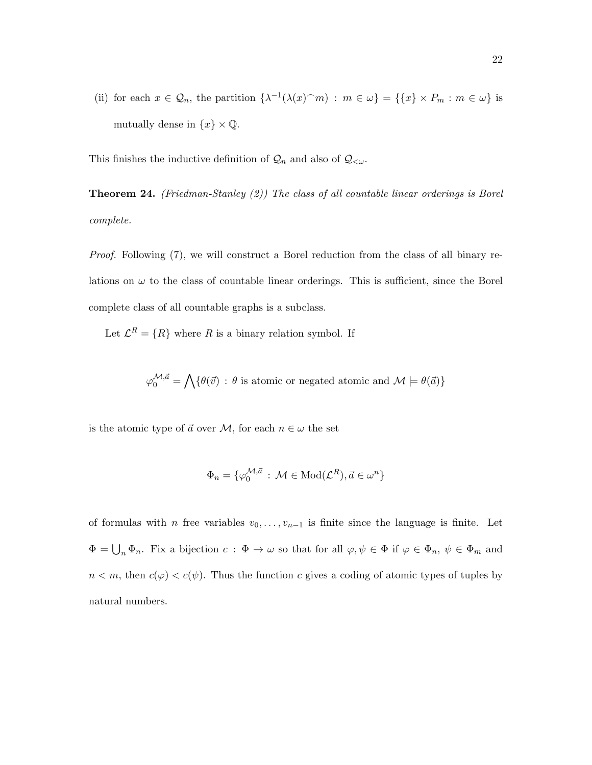(ii) for each  $x \in \mathcal{Q}_n$ , the partition  $\{\lambda^{-1}(\lambda(x)^\frown m) : m \in \omega\} = \{\{x\} \times P_m : m \in \omega\}$  is mutually dense in  $\{x\}\times \mathbb{Q}.$ 

This finishes the inductive definition of  $\mathcal{Q}_n$  and also of  $\mathcal{Q}_{< \omega}$ .

**Theorem 24.** (Friedman-Stanley  $(2)$ ) The class of all countable linear orderings is Borel complete.

Proof. Following (7), we will construct a Borel reduction from the class of all binary relations on  $\omega$  to the class of countable linear orderings. This is sufficient, since the Borel complete class of all countable graphs is a subclass.

Let  $\mathcal{L}^R = \{R\}$  where R is a binary relation symbol. If

$$
\varphi_0^{\mathcal{M},\vec{a}} = \bigwedge \{ \theta(\vec{v}) \, : \, \theta \text{ is atomic or negated atomic and } \mathcal{M} \models \theta(\vec{a}) \}
$$

is the atomic type of  $\vec{a}$  over  $\mathcal{M}$ , for each  $n \in \omega$  the set

$$
\Phi_n = \{ \varphi_0^{\mathcal{M}, \vec{a}} \, : \, \mathcal{M} \in \text{Mod}(\mathcal{L}^R), \vec{a} \in \omega^n \}
$$

of formulas with *n* free variables  $v_0, \ldots, v_{n-1}$  is finite since the language is finite. Let  $\Phi = \bigcup_n \Phi_n$ . Fix a bijection  $c : \Phi \to \omega$  so that for all  $\varphi, \psi \in \Phi$  if  $\varphi \in \Phi_n$ ,  $\psi \in \Phi_m$  and  $n < m$ , then  $c(\varphi) < c(\psi)$ . Thus the function c gives a coding of atomic types of tuples by natural numbers.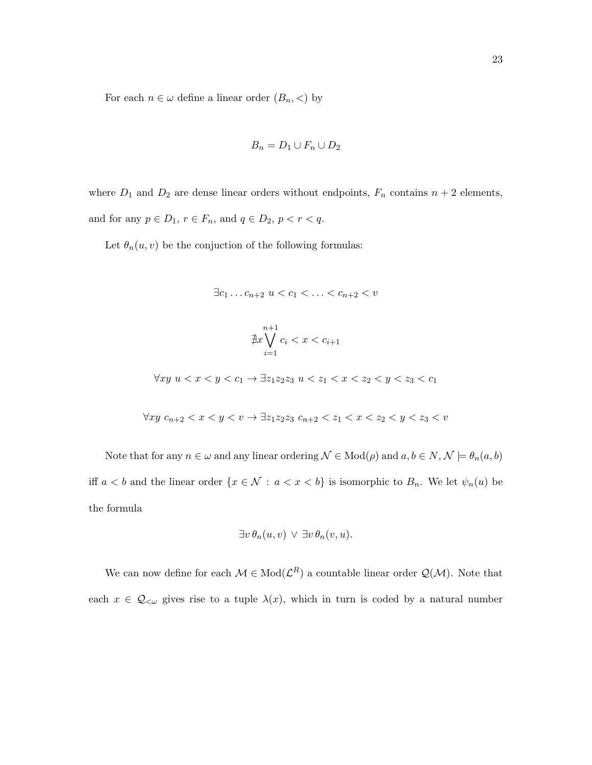For each  $n \in \omega$  define a linear order  $(B_n, <)$  by

$$
B_n = D_1 \cup F_n \cup D_2
$$

where  $D_1$  and  $D_2$  are dense linear orders without endpoints,  $F_n$  contains  $n + 2$  elements, and for any  $p \in D_1$ ,  $r \in F_n$ , and  $q \in D_2$ ,  $p < r < q$ .

Let  $\theta_n(u, v)$  be the conjuction of the following formulas:

$$
\exists c_1 \ldots c_{n+2} \ u < c_1 < \ldots < c_{n+2} < v
$$

$$
\nexists x \bigvee_{i=1}^{n+1} c_i < x < c_{i+1}
$$

 $\forall xy \ u < x < y < c_1$  →  $\exists z_1z_2z_3 \ u < z_1 < x < z_2 < y < z_3 < c_1$ 

$$
\forall xy \ c_{n+2} < x < y < v \rightarrow \exists z_1 z_2 z_3 \ c_{n+2} < z_1 < x < z_2 < y < z_3 < v
$$

Note that for any  $n \in \omega$  and any linear ordering  $\mathcal{N} \in Mod(\rho)$  and  $a, b \in N, \mathcal{N} \models \theta_n(a, b)$ iff  $a < b$  and the linear order  $\{x \in \mathcal{N} : a < x < b\}$  is isomorphic to  $B_n$ . We let  $\psi_n(u)$  be the formula

$$
\exists v \,\theta_n(u,v) \vee \exists v \,\theta_n(v,u).
$$

We can now define for each  $\mathcal{M} \in Mod(\mathcal{L}^R)$  a countable linear order  $\mathcal{Q}(\mathcal{M})$ . Note that each  $x \in \mathcal{Q}_{\leq \omega}$  gives rise to a tuple  $\lambda(x)$ , which in turn is coded by a natural number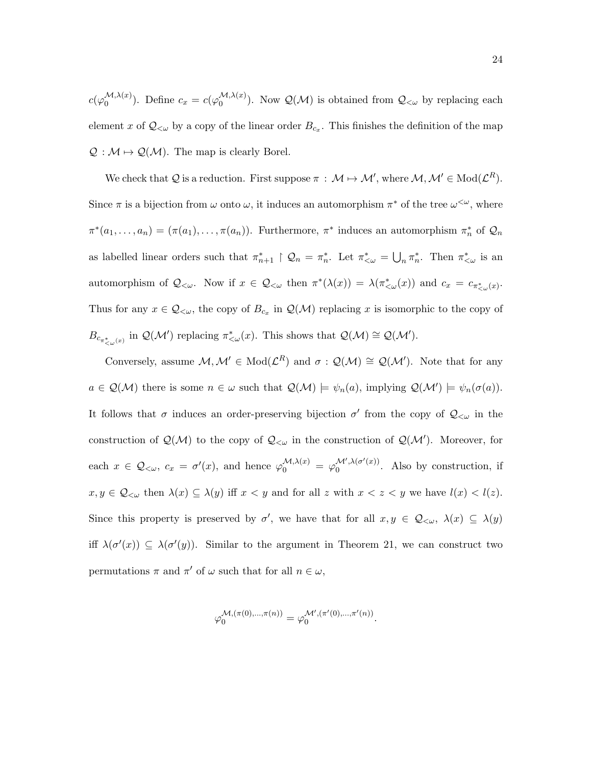$c(\varphi_0^{\mathcal{M},\lambda(x)})$  $\mathcal{L}^{(1)}(x)$ , Define  $c_x = c(\varphi_0^{(1)}(x))$  $\mathcal{Q}(\mathcal{M})$ . Now  $\mathcal{Q}(\mathcal{M})$  is obtained from  $\mathcal{Q}_{\leq \omega}$  by replacing each element x of  $\mathcal{Q}_{\leq \omega}$  by a copy of the linear order  $B_{c_x}$ . This finishes the definition of the map  $\mathcal{Q}: \mathcal{M} \mapsto \mathcal{Q}(\mathcal{M})$ . The map is clearly Borel.

We check that Q is a reduction. First suppose  $\pi : \mathcal{M} \mapsto \mathcal{M}'$ , where  $\mathcal{M}, \mathcal{M}' \in Mod(\mathcal{L}^R)$ . Since  $\pi$  is a bijection from  $\omega$  onto  $\omega$ , it induces an automorphism  $\pi^*$  of the tree  $\omega^{\langle\omega\rangle}$ , where  $\pi^*(a_1,\ldots,a_n)=(\pi(a_1),\ldots,\pi(a_n)).$  Furthermore,  $\pi^*$  induces an automorphism  $\pi_n^*$  of  $\mathcal{Q}_n$ as labelled linear orders such that  $\pi_{n+1}^* \upharpoonright \mathcal{Q}_n = \pi_n^*$ . Let  $\pi_{\leq \omega}^* = \bigcup_n \pi_n^*$ . Then  $\pi_{\leq \omega}^*$  is an automorphism of  $\mathcal{Q}_{<\omega}$ . Now if  $x \in \mathcal{Q}_{<\omega}$  then  $\pi^*(\lambda(x)) = \lambda(\pi^*_{<\omega}(x))$  and  $c_x = c_{\pi^*_{<\omega}(x)}$ . Thus for any  $x \in \mathcal{Q}_{\leq \omega}$ , the copy of  $B_{c_x}$  in  $\mathcal{Q}(\mathcal{M})$  replacing x is isomorphic to the copy of  $B_{c_{\pi_{\leq \omega}^*(x)}}$  in  $\mathcal{Q}(\mathcal{M}')$  replacing  $\pi_{\leq \omega}^*(x)$ . This shows that  $\mathcal{Q}(\mathcal{M}) \cong \mathcal{Q}(\mathcal{M}')$ .

Conversely, assume  $M, M' \in Mod(\mathcal{L}^R)$  and  $\sigma : \mathcal{Q}(\mathcal{M}) \cong \mathcal{Q}(\mathcal{M}')$ . Note that for any  $a \in \mathcal{Q}(\mathcal{M})$  there is some  $n \in \omega$  such that  $\mathcal{Q}(\mathcal{M}) \models \psi_n(a)$ , implying  $\mathcal{Q}(\mathcal{M}') \models \psi_n(\sigma(a))$ . It follows that  $\sigma$  induces an order-preserving bijection  $\sigma'$  from the copy of  $\mathcal{Q}_{<\omega}$  in the construction of  $\mathcal{Q}(\mathcal{M})$  to the copy of  $\mathcal{Q}_{\leq \omega}$  in the construction of  $\mathcal{Q}(\mathcal{M}')$ . Moreover, for each  $x \in \mathcal{Q}_{<\omega}, c_x = \sigma'(x)$ , and hence  $\varphi_0^{\mathcal{M},\lambda(x)} = \varphi_0^{\mathcal{M}',\lambda(\sigma'(x))}$  $\int_0^{\mathcal{M}(\mathcal{M}(\sigma'(x)))}$ . Also by construction, if  $x, y \in \mathcal{Q}_{\leq \omega}$  then  $\lambda(x) \subseteq \lambda(y)$  iff  $x < y$  and for all z with  $x < z < y$  we have  $l(x) < l(z)$ . Since this property is preserved by  $\sigma'$ , we have that for all  $x, y \in \mathcal{Q}_{\leq \omega}, \lambda(x) \subseteq \lambda(y)$ iff  $\lambda(\sigma'(x)) \subseteq \lambda(\sigma'(y))$ . Similar to the argument in Theorem 21, we can construct two permutations  $\pi$  and  $\pi'$  of  $\omega$  such that for all  $n \in \omega$ ,

$$
\varphi_0^{\mathcal{M}, (\pi(0), \ldots, \pi(n))} = \varphi_0^{\mathcal{M}', (\pi'(0), \ldots, \pi'(n))}.
$$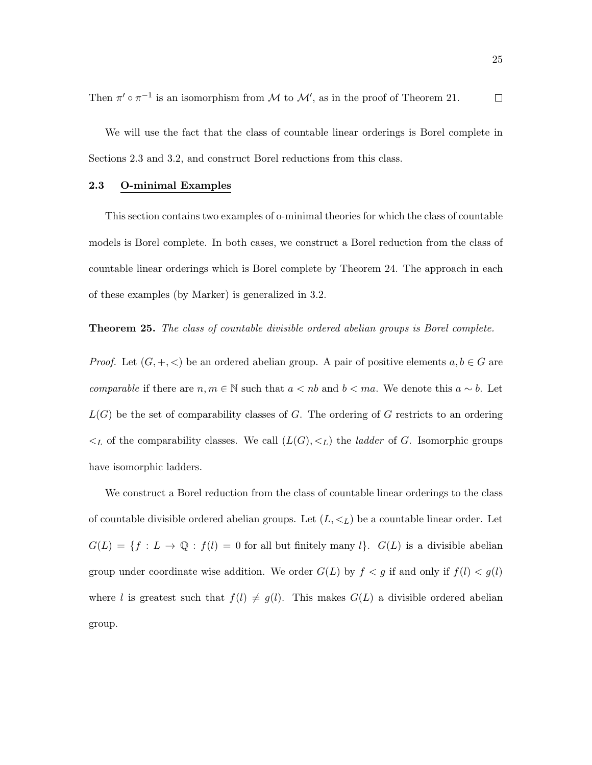Then  $\pi' \circ \pi^{-1}$  is an isomorphism from M to M', as in the proof of Theorem 21.  $\Box$ 

We will use the fact that the class of countable linear orderings is Borel complete in Sections 2.3 and 3.2, and construct Borel reductions from this class.

#### 2.3 O-minimal Examples

This section contains two examples of o-minimal theories for which the class of countable models is Borel complete. In both cases, we construct a Borel reduction from the class of countable linear orderings which is Borel complete by Theorem 24. The approach in each of these examples (by Marker) is generalized in 3.2.

Theorem 25. The class of countable divisible ordered abelian groups is Borel complete.

*Proof.* Let  $(G, +, <)$  be an ordered abelian group. A pair of positive elements  $a, b \in G$  are comparable if there are  $n, m \in \mathbb{N}$  such that  $a < nb$  and  $b < ma$ . We denote this  $a \sim b$ . Let  $L(G)$  be the set of comparability classes of G. The ordering of G restricts to an ordering  $\lt_L$  of the comparability classes. We call  $(L(G), \lt_L)$  the *ladder* of G. Isomorphic groups have isomorphic ladders.

We construct a Borel reduction from the class of countable linear orderings to the class of countable divisible ordered abelian groups. Let  $(L, \leq_L)$  be a countable linear order. Let  $G(L) = \{f : L \to \mathbb{Q} : f(l) = 0 \text{ for all but finitely many } l\}.$   $G(L)$  is a divisible abelian group under coordinate wise addition. We order  $G(L)$  by  $f < g$  if and only if  $f(l) < g(l)$ where l is greatest such that  $f(l) \neq g(l)$ . This makes  $G(L)$  a divisible ordered abelian group.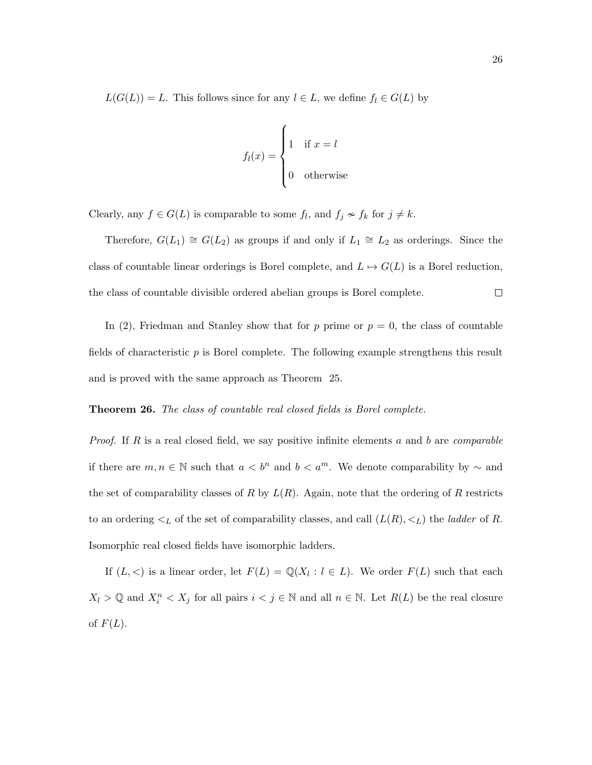$L(G(L)) = L$ . This follows since for any  $l \in L$ , we define  $f_l \in G(L)$  by

$$
f_l(x) = \begin{cases} 1 & \text{if } x = l \\ 0 & \text{otherwise} \end{cases}
$$

Clearly, any  $f \in G(L)$  is comparable to some  $f_l$ , and  $f_j \nsim f_k$  for  $j \neq k$ .

Therefore,  $G(L_1) \cong G(L_2)$  as groups if and only if  $L_1 \cong L_2$  as orderings. Since the class of countable linear orderings is Borel complete, and  $L \mapsto G(L)$  is a Borel reduction,  $\Box$ the class of countable divisible ordered abelian groups is Borel complete.

In (2), Friedman and Stanley show that for p prime or  $p = 0$ , the class of countable fields of characteristic p is Borel complete. The following example strengthens this result and is proved with the same approach as Theorem 25.

#### **Theorem 26.** The class of countable real closed fields is Borel complete.

*Proof.* If R is a real closed field, we say positive infinite elements a and b are *comparable* if there are  $m, n \in \mathbb{N}$  such that  $a < b^n$  and  $b < a^m$ . We denote comparability by  $\sim$  and the set of comparability classes of R by  $L(R)$ . Again, note that the ordering of R restricts to an ordering  $\lt_L$  of the set of comparability classes, and call  $(L(R), \lt_L)$  the *ladder* of R. Isomorphic real closed fields have isomorphic ladders.

If  $(L, <)$  is a linear order, let  $F(L) = \mathbb{Q}(X_l : l \in L)$ . We order  $F(L)$  such that each  $X_l > \mathbb{Q}$  and  $X_i^n < X_j$  for all pairs  $i < j \in \mathbb{N}$  and all  $n \in \mathbb{N}$ . Let  $R(L)$  be the real closure of  $F(L)$ .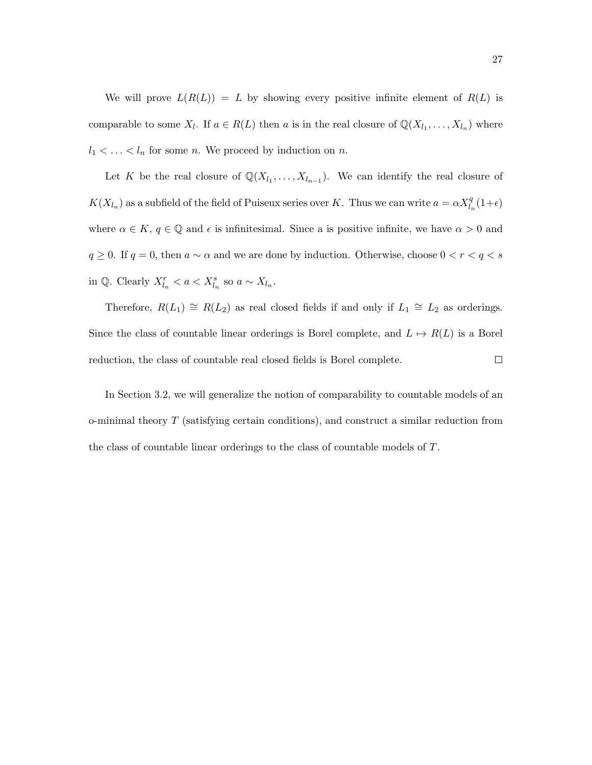We will prove  $L(R(L)) = L$  by showing every positive infinite element of  $R(L)$  is comparable to some  $X_l$ . If  $a \in R(L)$  then a is in the real closure of  $\mathbb{Q}(X_{l_1}, \ldots, X_{l_n})$  where  $l_1 < \ldots < l_n$  for some *n*. We proceed by induction on *n*.

Let K be the real closure of  $\mathbb{Q}(X_{l_1},\ldots,X_{l_{n-1}})$ . We can identify the real closure of  $K(X_{l_n})$  as a subfield of the field of Puiseux series over K. Thus we can write  $a = \alpha X_{l_n}^q(1+\epsilon)$ where  $\alpha \in K$ ,  $q \in \mathbb{Q}$  and  $\epsilon$  is infinitesimal. Since a is positive infinite, we have  $\alpha > 0$  and  $q\geq 0.$  If  $q=0,$  then  $a\sim \alpha$  and we are done by induction. Otherwise, choose  $0 < r < q < s$ in  $\mathbb{Q}$ . Clearly  $X_{l_n}^r < a < X_{l_n}^s$  so  $a \sim X_{l_n}$ .

Therefore,  $R(L_1) \cong R(L_2)$  as real closed fields if and only if  $L_1 \cong L_2$  as orderings. Since the class of countable linear orderings is Borel complete, and  $L \mapsto R(L)$  is a Borel reduction, the class of countable real closed fields is Borel complete.  $\Box$ 

In Section 3.2, we will generalize the notion of comparability to countable models of an o-minimal theory  $T$  (satisfying certain conditions), and construct a similar reduction from the class of countable linear orderings to the class of countable models of T.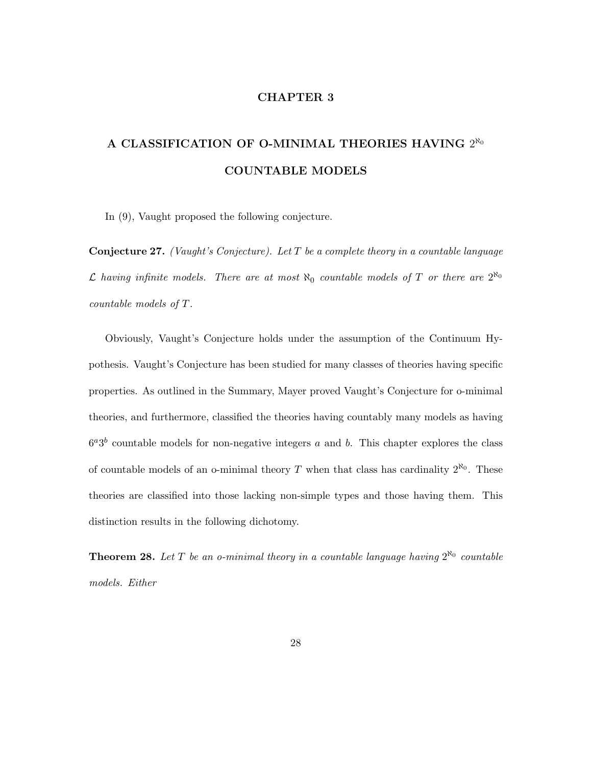#### CHAPTER 3

# A CLASSIFICATION OF O-MINIMAL THEORIES HAVING  $2^{\aleph_0}$ COUNTABLE MODELS

In (9), Vaught proposed the following conjecture.

**Conjecture 27.** (Vaught's Conjecture). Let  $T$  be a complete theory in a countable language L having infinite models. There are at most  $\aleph_0$  countable models of T or there are  $2^{\aleph_0}$ countable models of T.

Obviously, Vaught's Conjecture holds under the assumption of the Continuum Hypothesis. Vaught's Conjecture has been studied for many classes of theories having specific properties. As outlined in the Summary, Mayer proved Vaught's Conjecture for o-minimal theories, and furthermore, classified the theories having countably many models as having  $6^a3^b$  countable models for non-negative integers a and b. This chapter explores the class of countable models of an o-minimal theory T when that class has cardinality  $2^{\aleph_0}$ . These theories are classified into those lacking non-simple types and those having them. This distinction results in the following dichotomy.

**Theorem 28.** Let T be an o-minimal theory in a countable language having  $2^{\aleph_0}$  countable models. Either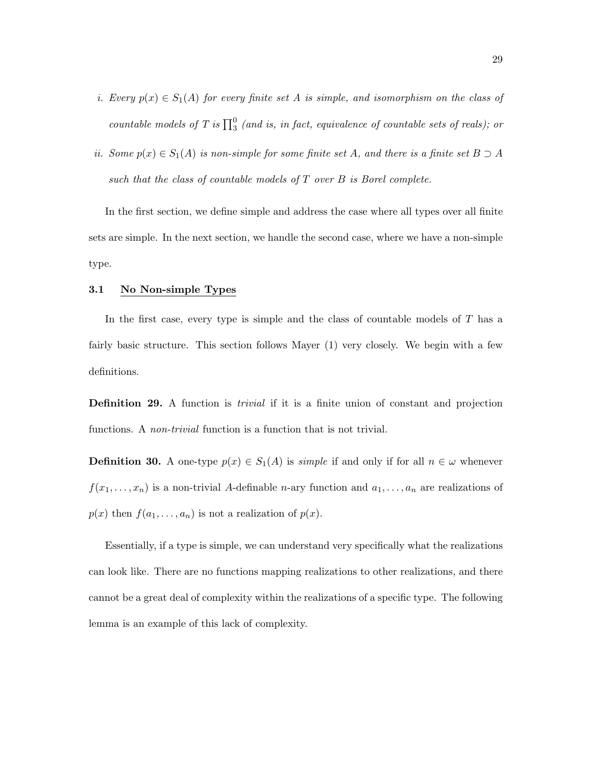- i. Every  $p(x) \in S_1(A)$  for every finite set A is simple, and isomorphism on the class of countable models of T is  $\prod_3^0$  (and is, in fact, equivalence of countable sets of reals); or
- ii. Some  $p(x) \in S_1(A)$  is non-simple for some finite set A, and there is a finite set  $B \supset A$ such that the class of countable models of  $T$  over  $B$  is Borel complete.

In the first section, we define simple and address the case where all types over all finite sets are simple. In the next section, we handle the second case, where we have a non-simple type.

#### 3.1 No Non-simple Types

In the first case, every type is simple and the class of countable models of  $T$  has a fairly basic structure. This section follows Mayer (1) very closely. We begin with a few definitions.

**Definition 29.** A function is *trivial* if it is a finite union of constant and projection functions. A *non-trivial* function is a function that is not trivial.

**Definition 30.** A one-type  $p(x) \in S_1(A)$  is *simple* if and only if for all  $n \in \omega$  whenever  $f(x_1, \ldots, x_n)$  is a non-trivial A-definable *n*-ary function and  $a_1, \ldots, a_n$  are realizations of  $p(x)$  then  $f(a_1, \ldots, a_n)$  is not a realization of  $p(x)$ .

Essentially, if a type is simple, we can understand very specifically what the realizations can look like. There are no functions mapping realizations to other realizations, and there cannot be a great deal of complexity within the realizations of a specific type. The following lemma is an example of this lack of complexity.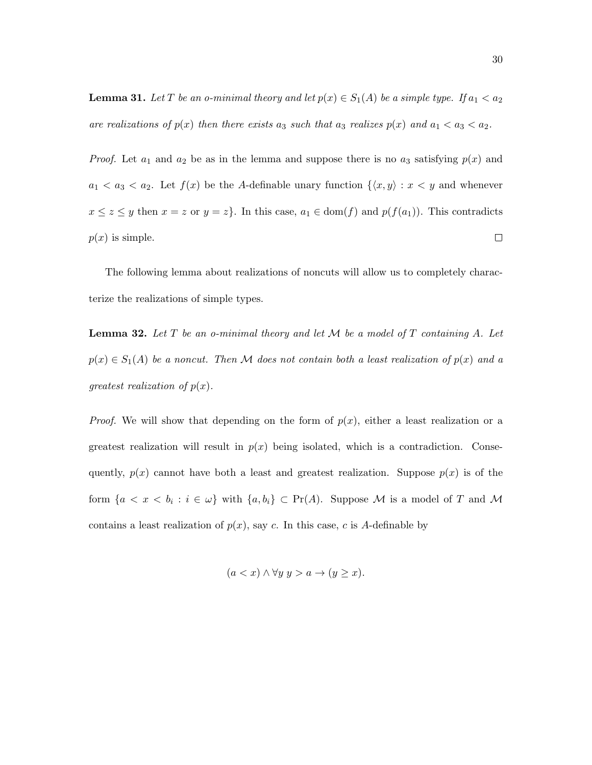**Lemma 31.** Let T be an o-minimal theory and let  $p(x) \in S_1(A)$  be a simple type. If  $a_1 < a_2$ are realizations of  $p(x)$  then there exists  $a_3$  such that  $a_3$  realizes  $p(x)$  and  $a_1 < a_3 < a_2$ .

*Proof.* Let  $a_1$  and  $a_2$  be as in the lemma and suppose there is no  $a_3$  satisfying  $p(x)$  and  $a_1 < a_3 < a_2$ . Let  $f(x)$  be the A-definable unary function  $\{\langle x, y \rangle : x < y\}$  and whenever  $x \leq z \leq y$  then  $x = z$  or  $y = z$ . In this case,  $a_1 \in \text{dom}(f)$  and  $p(f(a_1))$ . This contradicts  $p(x)$  is simple.  $\Box$ 

The following lemma about realizations of noncuts will allow us to completely characterize the realizations of simple types.

**Lemma 32.** Let  $T$  be an o-minimal theory and let  $M$  be a model of  $T$  containing  $A$ . Let  $p(x) \in S_1(A)$  be a noncut. Then M does not contain both a least realization of  $p(x)$  and a greatest realization of  $p(x)$ .

*Proof.* We will show that depending on the form of  $p(x)$ , either a least realization or a greatest realization will result in  $p(x)$  being isolated, which is a contradiction. Consequently,  $p(x)$  cannot have both a least and greatest realization. Suppose  $p(x)$  is of the form  $\{a < x < b_i : i \in \omega\}$  with  $\{a, b_i\} \subset \Pr(A)$ . Suppose M is a model of T and M contains a least realization of  $p(x)$ , say c. In this case, c is A-definable by

$$
(a < x) \land \forall y \ y > a \rightarrow (y \geq x).
$$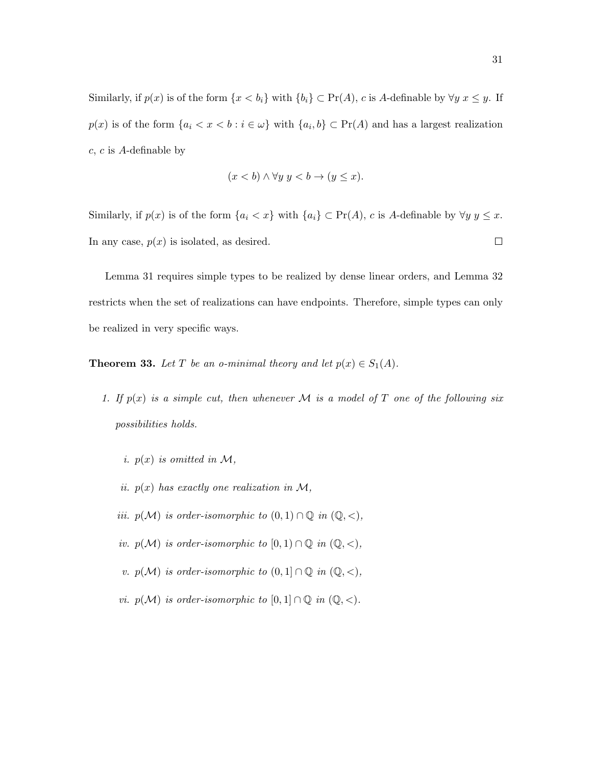Similarly, if  $p(x)$  is of the form  $\{x < b_i\}$  with  $\{b_i\} \subset \Pr(A)$ , c is A-definable by  $\forall y \ x \leq y$ . If  $p(x)$  is of the form  $\{a_i < x < b : i \in \omega\}$  with  $\{a_i, b\} \subset \Pr(A)$  and has a largest realization c, c is A-definable by

$$
(x < b) \land \forall y \ y < b \to (y \le x).
$$

Similarly, if  $p(x)$  is of the form  $\{a_i < x\}$  with  $\{a_i\} \subset \Pr(A)$ , c is A-definable by  $\forall y \ y \leq x$ . In any case,  $p(x)$  is isolated, as desired.  $\Box$ 

Lemma 31 requires simple types to be realized by dense linear orders, and Lemma 32 restricts when the set of realizations can have endpoints. Therefore, simple types can only be realized in very specific ways.

**Theorem 33.** Let T be an o-minimal theory and let  $p(x) \in S_1(A)$ .

- 1. If  $p(x)$  is a simple cut, then whenever M is a model of T one of the following six possibilities holds.
	- i.  $p(x)$  is omitted in M,
	- ii.  $p(x)$  has exactly one realization in M,
	- iii.  $p(\mathcal{M})$  is order-isomorphic to  $(0,1) \cap \mathbb{Q}$  in  $(\mathbb{Q}, <)$ ,
	- iv.  $p(\mathcal{M})$  is order-isomorphic to  $[0,1) \cap \mathbb{Q}$  in  $(\mathbb{Q}, <)$ ,
	- v.  $p(\mathcal{M})$  is order-isomorphic to  $(0,1] \cap \mathbb{Q}$  in  $(\mathbb{Q}, <)$ ,
	- vi.  $p(\mathcal{M})$  is order-isomorphic to  $[0,1] \cap \mathbb{Q}$  in  $(\mathbb{Q}, <)$ .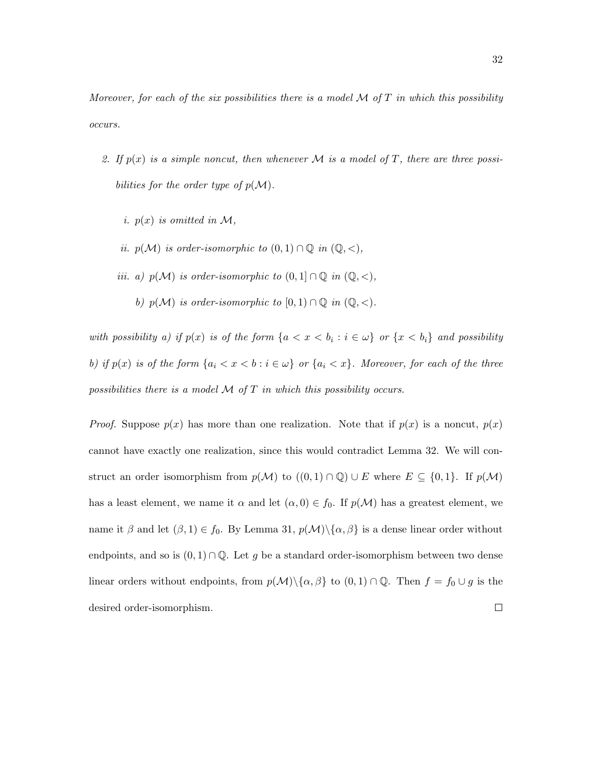Moreover, for each of the six possibilities there is a model  $M$  of  $T$  in which this possibility occurs.

- 2. If  $p(x)$  is a simple noncut, then whenever M is a model of T, there are three possibilities for the order type of  $p(\mathcal{M})$ .
	- i.  $p(x)$  is omitted in M,
	- ii.  $p(\mathcal{M})$  is order-isomorphic to  $(0,1) \cap \mathbb{Q}$  in  $(\mathbb{Q}, <)$ ,
	- iii. a)  $p(\mathcal{M})$  is order-isomorphic to  $(0,1] \cap \mathbb{Q}$  in  $(\mathbb{Q}, <)$ ,
		- b)  $p(\mathcal{M})$  is order-isomorphic to  $[0,1) \cap \mathbb{Q}$  in  $(\mathbb{Q}, \leq)$ .

with possibility a) if  $p(x)$  is of the form  $\{a < x < b_i : i \in \omega\}$  or  $\{x < b_i\}$  and possibility b) if  $p(x)$  is of the form  $\{a_i < x < b : i \in \omega\}$  or  $\{a_i < x\}$ . Moreover, for each of the three possibilities there is a model  $M$  of  $T$  in which this possibility occurs.

*Proof.* Suppose  $p(x)$  has more than one realization. Note that if  $p(x)$  is a noncut,  $p(x)$ cannot have exactly one realization, since this would contradict Lemma 32. We will construct an order isomorphism from  $p(\mathcal{M})$  to  $((0,1) \cap \mathbb{Q}) \cup E$  where  $E \subseteq \{0,1\}$ . If  $p(\mathcal{M})$ has a least element, we name it  $\alpha$  and let  $(\alpha, 0) \in f_0$ . If  $p(\mathcal{M})$  has a greatest element, we name it  $\beta$  and let  $(\beta, 1) \in f_0$ . By Lemma 31,  $p(\mathcal{M}) \setminus {\alpha, \beta}$  is a dense linear order without endpoints, and so is  $(0,1) \cap \mathbb{Q}$ . Let g be a standard order-isomorphism between two dense linear orders without endpoints, from  $p(\mathcal{M})\backslash\{\alpha,\beta\}$  to  $(0,1)\cap\mathbb{Q}$ . Then  $f = f_0 \cup g$  is the desired order-isomorphism. $\Box$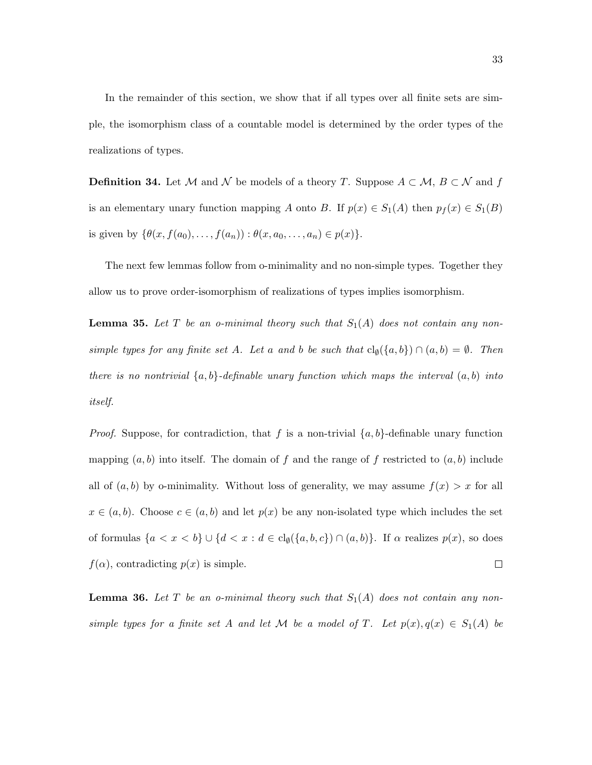In the remainder of this section, we show that if all types over all finite sets are simple, the isomorphism class of a countable model is determined by the order types of the realizations of types.

**Definition 34.** Let M and N be models of a theory T. Suppose  $A \subset M$ ,  $B \subset N$  and f is an elementary unary function mapping A onto B. If  $p(x) \in S_1(A)$  then  $p_f(x) \in S_1(B)$ is given by  $\{\theta(x, f(a_0), \ldots, f(a_n)) : \theta(x, a_0, \ldots, a_n) \in p(x)\}.$ 

The next few lemmas follow from o-minimality and no non-simple types. Together they allow us to prove order-isomorphism of realizations of types implies isomorphism.

**Lemma 35.** Let T be an o-minimal theory such that  $S_1(A)$  does not contain any nonsimple types for any finite set A. Let a and b be such that  $cl_{\emptyset}(\{a,b\}) \cap (a,b) = \emptyset$ . Then there is no nontrivial  $\{a, b\}$ -definable unary function which maps the interval  $(a, b)$  into itself.

*Proof.* Suppose, for contradiction, that f is a non-trivial  $\{a, b\}$ -definable unary function mapping  $(a, b)$  into itself. The domain of f and the range of f restricted to  $(a, b)$  include all of  $(a, b)$  by o-minimality. Without loss of generality, we may assume  $f(x) > x$  for all  $x \in (a, b)$ . Choose  $c \in (a, b)$  and let  $p(x)$  be any non-isolated type which includes the set of formulas  $\{a < x < b\} \cup \{d < x : d \in \text{cl}_{\emptyset}(\{a, b, c\}) \cap (a, b)\}.$  If  $\alpha$  realizes  $p(x)$ , so does  $f(\alpha)$ , contradicting  $p(x)$  is simple.  $\Box$ 

**Lemma 36.** Let T be an o-minimal theory such that  $S_1(A)$  does not contain any nonsimple types for a finite set A and let M be a model of T. Let  $p(x), q(x) \in S_1(A)$  be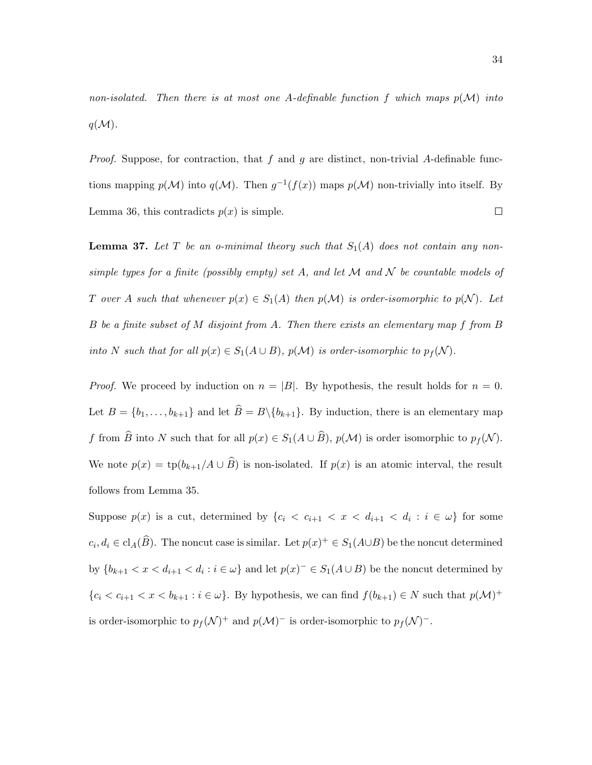non-isolated. Then there is at most one A-definable function f which maps  $p(\mathcal{M})$  into  $q(\mathcal{M})$ .

*Proof.* Suppose, for contraction, that  $f$  and  $g$  are distinct, non-trivial A-definable functions mapping  $p(\mathcal{M})$  into  $q(\mathcal{M})$ . Then  $g^{-1}(f(x))$  maps  $p(\mathcal{M})$  non-trivially into itself. By Lemma 36, this contradicts  $p(x)$  is simple.  $\Box$ 

**Lemma 37.** Let T be an o-minimal theory such that  $S_1(A)$  does not contain any nonsimple types for a finite (possibly empty) set A, and let M and N be countable models of T over A such that whenever  $p(x) \in S_1(A)$  then  $p(\mathcal{M})$  is order-isomorphic to  $p(\mathcal{N})$ . Let B be a finite subset of M disjoint from A. Then there exists an elementary map f from B into N such that for all  $p(x) \in S_1(A \cup B)$ ,  $p(M)$  is order-isomorphic to  $p_f(N)$ .

*Proof.* We proceed by induction on  $n = |B|$ . By hypothesis, the result holds for  $n = 0$ . Let  $B = \{b_1, \ldots, b_{k+1}\}\$  and let  $\widehat{B} = B\backslash \{b_{k+1}\}\$ . By induction, there is an elementary map f from  $\widehat{B}$  into N such that for all  $p(x) \in S_1(A \cup \widehat{B}), p(\mathcal{M})$  is order isomorphic to  $p_f(\mathcal{N})$ . We note  $p(x) = \text{tp}(b_{k+1}/A \cup \widehat{B})$  is non-isolated. If  $p(x)$  is an atomic interval, the result follows from Lemma 35.

Suppose  $p(x)$  is a cut, determined by  $\{c_i < c_{i+1} < x < d_{i+1} < d_i : i \in \omega\}$  for some  $c_i, d_i \in \text{cl}_A(\widehat{B})$ . The noncut case is similar. Let  $p(x)^+ \in S_1(A \cup B)$  be the noncut determined by  $\{b_{k+1} < x < d_{i+1} < d_i : i \in \omega\}$  and let  $p(x)^{-} \in S_1(A \cup B)$  be the noncut determined by  ${c_i < c_{i+1} < x < b_{k+1} : i \in \omega}$ . By hypothesis, we can find  $f(b_{k+1}) \in N$  such that  $p(\mathcal{M})^+$ is order-isomorphic to  $p_f(\mathcal{N})^+$  and  $p(\mathcal{M})^-$  is order-isomorphic to  $p_f(\mathcal{N})^-$ .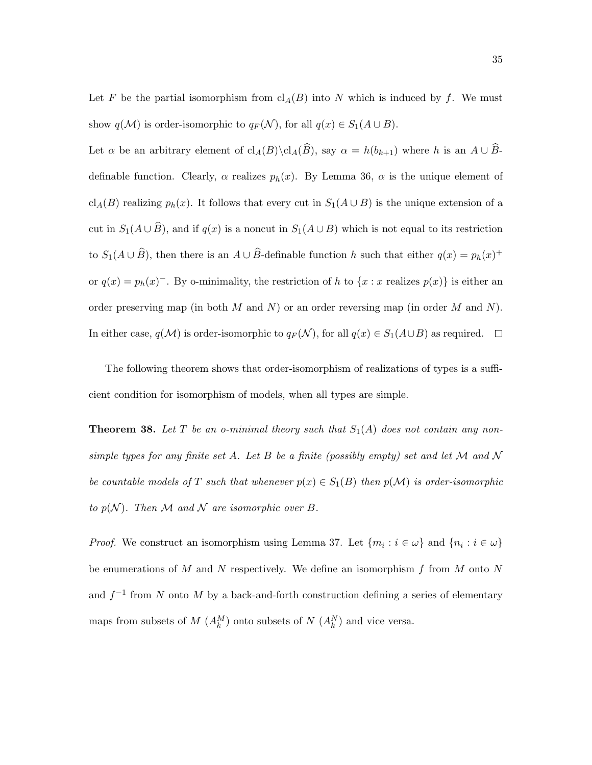Let F be the partial isomorphism from  $\text{cl}_A(B)$  into N which is induced by f. We must show  $q(\mathcal{M})$  is order-isomorphic to  $q_F(\mathcal{N})$ , for all  $q(x) \in S_1(A \cup B)$ .

Let  $\alpha$  be an arbitrary element of  $\text{cl}_A(B)\backslash \text{cl}_A(\widehat{B})$ , say  $\alpha = h(b_{k+1})$  where h is an  $A \cup \widehat{B}$ definable function. Clearly,  $\alpha$  realizes  $p_h(x)$ . By Lemma 36,  $\alpha$  is the unique element of cl<sub>A</sub>(B) realizing  $p_h(x)$ . It follows that every cut in  $S_1(A\cup B)$  is the unique extension of a cut in  $S_1(A\cup \widehat{B})$ , and if  $q(x)$  is a noncut in  $S_1(A\cup B)$  which is not equal to its restriction to  $S_1(A \cup \widehat{B})$ , then there is an  $A \cup \widehat{B}$ -definable function h such that either  $q(x) = p_h(x)^+$ or  $q(x) = p_h(x)$ . By o-minimality, the restriction of h to  $\{x : x \text{ realizes } p(x)\}$  is either an order preserving map (in both  $M$  and  $N$ ) or an order reversing map (in order  $M$  and  $N$ ). In either case,  $q(\mathcal{M})$  is order-isomorphic to  $q_F(\mathcal{N})$ , for all  $q(x) \in S_1(A \cup B)$  as required.  $\Box$ 

The following theorem shows that order-isomorphism of realizations of types is a sufficient condition for isomorphism of models, when all types are simple.

**Theorem 38.** Let T be an o-minimal theory such that  $S_1(A)$  does not contain any nonsimple types for any finite set A. Let B be a finite (possibly empty) set and let M and N be countable models of T such that whenever  $p(x) \in S_1(B)$  then  $p(M)$  is order-isomorphic to  $p(\mathcal{N})$ . Then M and N are isomorphic over B.

*Proof.* We construct an isomorphism using Lemma 37. Let  $\{m_i : i \in \omega\}$  and  $\{n_i : i \in \omega\}$ be enumerations of M and N respectively. We define an isomorphism  $f$  from M onto N and  $f^{-1}$  from N onto M by a back-and-forth construction defining a series of elementary maps from subsets of  $M$   $(A_k^M)$  onto subsets of  $N$   $(A_k^N)$  and vice versa.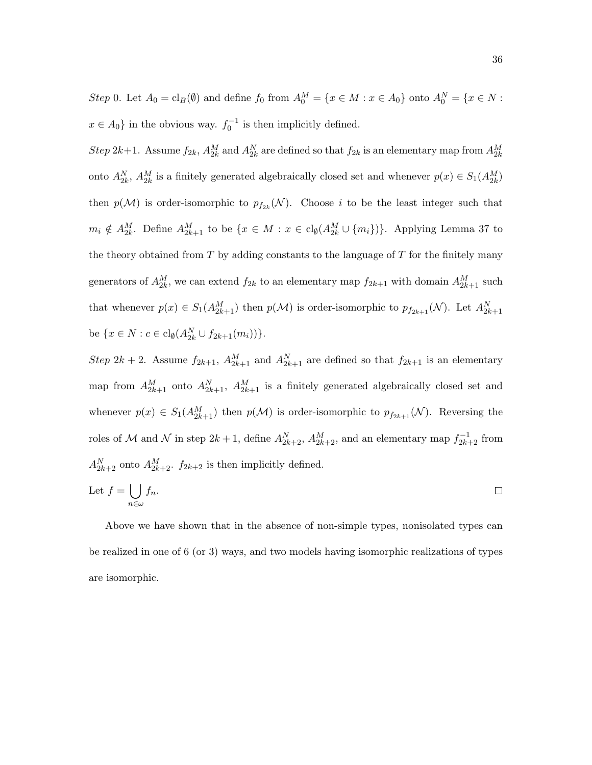Step 0. Let  $A_0 = \text{cl}_B(\emptyset)$  and define  $f_0$  from  $A_0^M = \{x \in M : x \in A_0\}$  onto  $A_0^N = \{x \in N : x \in A_0\}$  $x \in A_0$  in the obvious way.  $f_0^{-1}$  is then implicitly defined.

 $Step 2k+1$ . Assume  $f_{2k}$ ,  $A_{2k}^M$  and  $A_{2k}^N$  are defined so that  $f_{2k}$  is an elementary map from  $A_{2k}^M$ onto  $A_{2k}^N$ ,  $A_{2k}^M$  is a finitely generated algebraically closed set and whenever  $p(x) \in S_1(A_{2k}^M)$ then  $p(\mathcal{M})$  is order-isomorphic to  $p_{f_{2k}}(\mathcal{N})$ . Choose i to be the least integer such that  $m_i \notin A_{2k}^M$ . Define  $A_{2k+1}^M$  to be  $\{x \in M : x \in \text{cl}_{\emptyset}(A_{2k}^M \cup \{m_i\})\}$ . Applying Lemma 37 to the theory obtained from  $T$  by adding constants to the language of  $T$  for the finitely many generators of  $A_{2k}^M$ , we can extend  $f_{2k}$  to an elementary map  $f_{2k+1}$  with domain  $A_{2k+1}^M$  such that whenever  $p(x) \in S_1(A_{2k+1}^M)$  then  $p(\mathcal{M})$  is order-isomorphic to  $p_{f_{2k+1}}(\mathcal{N})$ . Let  $A_{2k+1}^N$ be  $\{x \in N : c \in \text{cl}_{\emptyset}(A_{2k}^N \cup f_{2k+1}(m_i))\}.$ 

Step 2k + 2. Assume  $f_{2k+1}$ ,  $A_{2k+1}^M$  and  $A_{2k+1}^N$  are defined so that  $f_{2k+1}$  is an elementary map from  $A_{2k+1}^M$  onto  $A_{2k+1}^N$ ,  $A_{2k+1}^M$  is a finitely generated algebraically closed set and whenever  $p(x) \in S_1(A_{2k+1}^M)$  then  $p(\mathcal{M})$  is order-isomorphic to  $p_{f_{2k+1}}(\mathcal{N})$ . Reversing the roles of M and N in step  $2k+1$ , define  $A_{2k+2}^N$ ,  $A_{2k+2}^M$ , and an elementary map  $f_{2k+2}^{-1}$  from  $A_{2k+2}^N$  onto  $A_{2k+2}^M$ .  $f_{2k+2}$  is then implicitly defined.

Let 
$$
f = \bigcup_{n \in \omega} f_n
$$
.

Above we have shown that in the absence of non-simple types, nonisolated types can be realized in one of 6 (or 3) ways, and two models having isomorphic realizations of types are isomorphic.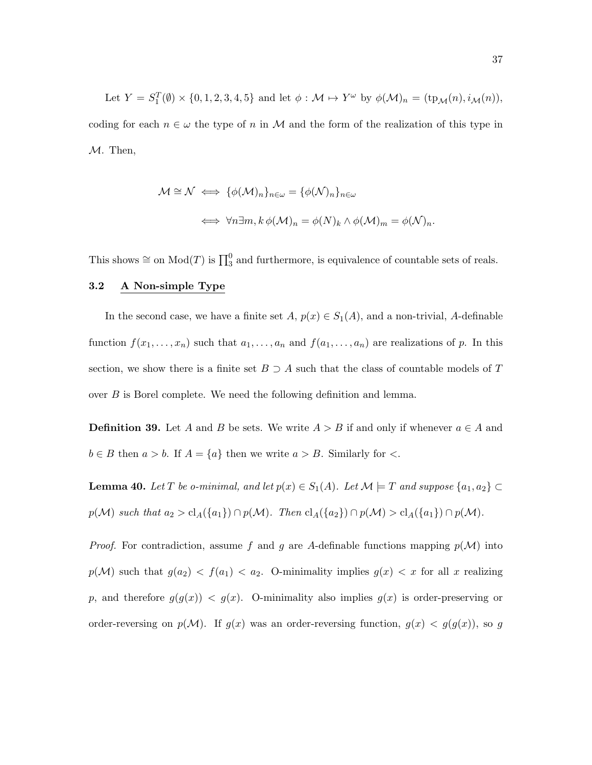Let  $Y = S_1^T(\emptyset) \times \{0, 1, 2, 3, 4, 5\}$  and let  $\phi : \mathcal{M} \mapsto Y^{\omega}$  by  $\phi(\mathcal{M})_n = (\text{tp}_{\mathcal{M}}(n), i_{\mathcal{M}}(n)),$ coding for each  $n \in \omega$  the type of n in M and the form of the realization of this type in M. Then,

$$
\mathcal{M} \cong \mathcal{N} \iff \{\phi(\mathcal{M})_n\}_{n \in \omega} = \{\phi(\mathcal{N})_n\}_{n \in \omega}
$$

$$
\iff \forall n \exists m, k \, \phi(\mathcal{M})_n = \phi(N)_k \land \phi(\mathcal{M})_m = \phi(\mathcal{N})_n.
$$

This shows  $\cong$  on  $Mod(T)$  is  $\prod_{3}^{0}$  and furthermore, is equivalence of countable sets of reals.

#### 3.2 A Non-simple Type

In the second case, we have a finite set  $A, p(x) \in S_1(A)$ , and a non-trivial, A-definable function  $f(x_1, \ldots, x_n)$  such that  $a_1, \ldots, a_n$  and  $f(a_1, \ldots, a_n)$  are realizations of p. In this section, we show there is a finite set  $B \supset A$  such that the class of countable models of T over B is Borel complete. We need the following definition and lemma.

**Definition 39.** Let A and B be sets. We write  $A > B$  if and only if whenever  $a \in A$  and  $b \in B$  then  $a > b$ . If  $A = \{a\}$  then we write  $a > B$ . Similarly for  $\lt$ .

**Lemma 40.** Let T be o-minimal, and let  $p(x) \in S_1(A)$ . Let  $\mathcal{M} \models T$  and suppose  $\{a_1, a_2\} \subset$  $p(\mathcal{M})$  such that  $a_2 > cl_A(\lbrace a_1 \rbrace) \cap p(\mathcal{M})$ . Then  $cl_A(\lbrace a_2 \rbrace) \cap p(\mathcal{M}) > cl_A(\lbrace a_1 \rbrace) \cap p(\mathcal{M})$ .

*Proof.* For contradiction, assume f and g are A-definable functions mapping  $p(\mathcal{M})$  into  $p(\mathcal{M})$  such that  $g(a_2) < f(a_1) < a_2$ . O-minimality implies  $g(x) < x$  for all x realizing p, and therefore  $g(g(x)) < g(x)$ . O-minimality also implies  $g(x)$  is order-preserving or order-reversing on  $p(\mathcal{M})$ . If  $g(x)$  was an order-reversing function,  $g(x) < g(g(x))$ , so g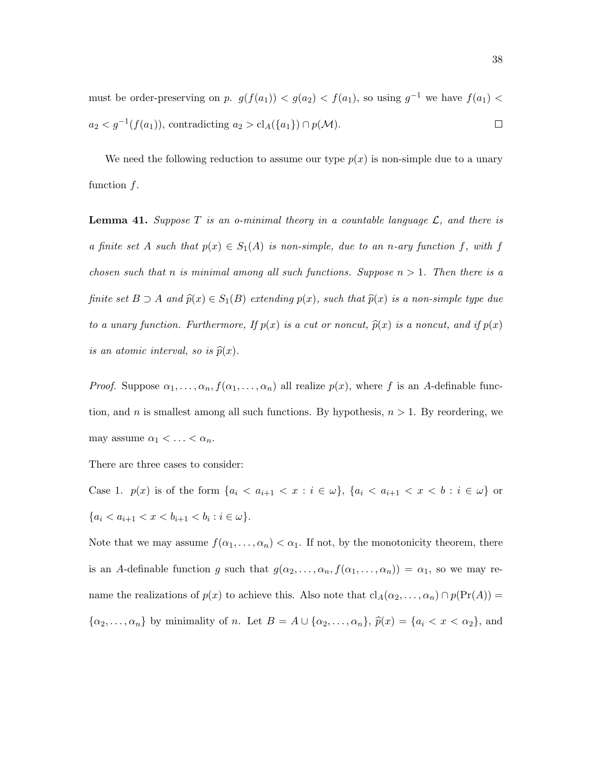must be order-preserving on p.  $g(f(a_1)) < g(a_2) < f(a_1)$ , so using  $g^{-1}$  we have  $f(a_1) <$  $a_2 < g^{-1}(f(a_1))$ , contradicting  $a_2 > \text{cl}_A({a_1}) \cap p(\mathcal{M})$ .  $\Box$ 

We need the following reduction to assume our type  $p(x)$  is non-simple due to a unary function  $f$ .

**Lemma 41.** Suppose T is an o-minimal theory in a countable language  $\mathcal{L}$ , and there is a finite set A such that  $p(x) \in S_1(A)$  is non-simple, due to an n-ary function f, with f chosen such that n is minimal among all such functions. Suppose  $n > 1$ . Then there is a finite set  $B \supset A$  and  $\widehat{p}(x) \in S_1(B)$  extending  $p(x)$ , such that  $\widehat{p}(x)$  is a non-simple type due to a unary function. Furthermore, If  $p(x)$  is a cut or noncut,  $\hat{p}(x)$  is a noncut, and if  $p(x)$ is an atomic interval, so is  $\widehat{p}(x)$ .

*Proof.* Suppose  $\alpha_1, \ldots, \alpha_n, f(\alpha_1, \ldots, \alpha_n)$  all realize  $p(x)$ , where f is an A-definable function, and n is smallest among all such functions. By hypothesis,  $n > 1$ . By reordering, we may assume  $\alpha_1 < \ldots < \alpha_n$ .

There are three cases to consider:

Case 1.  $p(x)$  is of the form  $\{a_i < a_{i+1} < x : i \in \omega\}$ ,  $\{a_i < a_{i+1} < x < b : i \in \omega\}$  or  $\{a_i < a_{i+1} < x < b_{i+1} < b_i : i \in \omega\}.$ 

Note that we may assume  $f(\alpha_1, \ldots, \alpha_n) < \alpha_1$ . If not, by the monotonicity theorem, there is an A-definable function g such that  $g(\alpha_2, \ldots, \alpha_n, f(\alpha_1, \ldots, \alpha_n)) = \alpha_1$ , so we may rename the realizations of  $p(x)$  to achieve this. Also note that  $\text{cl}_A(\alpha_2, \ldots, \alpha_n) \cap p(\text{Pr}(A)) =$  $\{\alpha_2,\ldots,\alpha_n\}$  by minimality of n. Let  $B = A \cup \{\alpha_2,\ldots,\alpha_n\}$ ,  $\hat{p}(x) = \{a_i < x < \alpha_2\}$ , and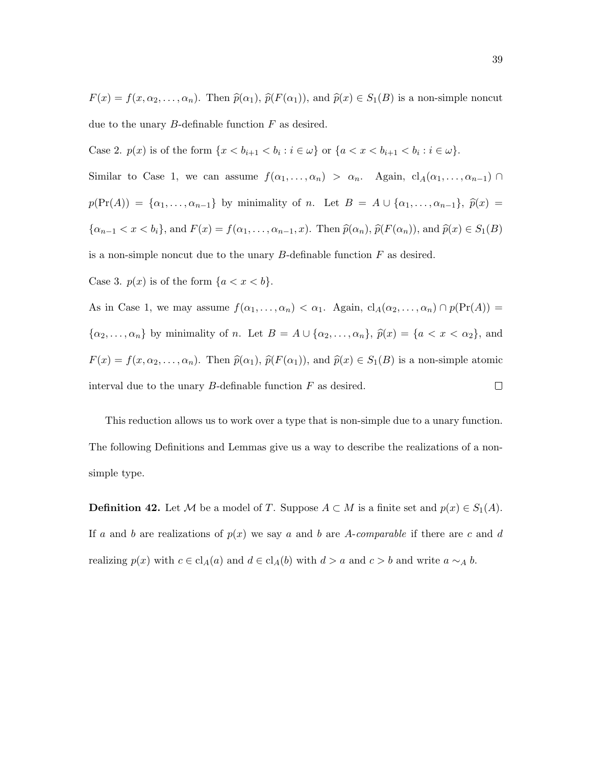$F(x) = f(x, \alpha_2, \ldots, \alpha_n)$ . Then  $\hat{p}(\alpha_1)$ ,  $\hat{p}(F(\alpha_1))$ , and  $\hat{p}(x) \in S_1(B)$  is a non-simple noncut due to the unary  $B$ -definable function  $F$  as desired.

Case 2.  $p(x)$  is of the form  $\{x < b_{i+1} < b_i : i \in \omega\}$  or  $\{a < x < b_{i+1} < b_i : i \in \omega\}$ .

Similar to Case 1, we can assume  $f(\alpha_1, \ldots, \alpha_n) > \alpha_n$ . Again,  $cl_A(\alpha_1, \ldots, \alpha_{n-1}) \cap$  $p(\Pr(A)) = {\alpha_1, \ldots, \alpha_{n-1}}$  by minimality of n. Let  $B = A \cup {\alpha_1, \ldots, \alpha_{n-1}}$ ,  $\hat{p}(x) =$  $\{\alpha_{n-1} < x < b_i\}$ , and  $F(x) = f(\alpha_1, \ldots, \alpha_{n-1}, x)$ . Then  $\hat{p}(\alpha_n)$ ,  $\hat{p}(F(\alpha_n))$ , and  $\hat{p}(x) \in S_1(B)$ 

is a non-simple noncut due to the unary  $B$ -definable function  $F$  as desired.

Case 3.  $p(x)$  is of the form  $\{a < x < b\}.$ 

As in Case 1, we may assume  $f(\alpha_1, \ldots, \alpha_n) < \alpha_1$ . Again,  $\text{cl}_A(\alpha_2, \ldots, \alpha_n) \cap p(\text{Pr}(A)) =$  $\{\alpha_2, \ldots, \alpha_n\}$  by minimality of n. Let  $B = A \cup \{\alpha_2, \ldots, \alpha_n\}$ ,  $\hat{p}(x) = \{a < x < \alpha_2\}$ , and  $F(x) = f(x, \alpha_2, \ldots, \alpha_n)$ . Then  $\hat{p}(\alpha_1)$ ,  $\hat{p}(F(\alpha_1))$ , and  $\hat{p}(x) \in S_1(B)$  is a non-simple atomic interval due to the unary  $B$ -definable function  $F$  as desired.  $\Box$ 

This reduction allows us to work over a type that is non-simple due to a unary function. The following Definitions and Lemmas give us a way to describe the realizations of a nonsimple type.

**Definition 42.** Let M be a model of T. Suppose  $A \subset M$  is a finite set and  $p(x) \in S_1(A)$ . If a and b are realizations of  $p(x)$  we say a and b are A-comparable if there are c and d realizing  $p(x)$  with  $c \in cl_A(a)$  and  $d \in cl_A(b)$  with  $d > a$  and  $c > b$  and write  $a \sim_A b$ .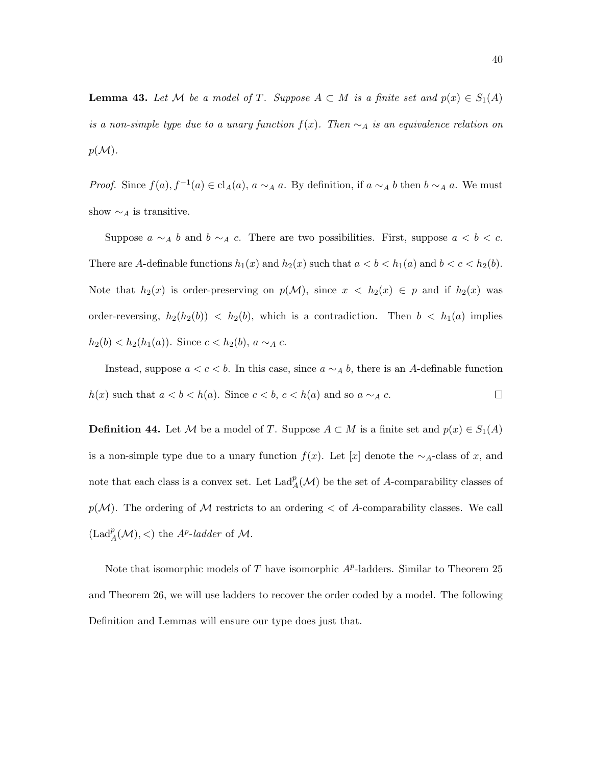**Lemma 43.** Let M be a model of T. Suppose  $A \subset M$  is a finite set and  $p(x) \in S_1(A)$ is a non-simple type due to a unary function  $f(x)$ . Then  $\sim_A$  is an equivalence relation on  $p(M)$ .

*Proof.* Since  $f(a)$ ,  $f^{-1}(a) \in \text{cl}_A(a)$ ,  $a \sim_A a$ . By definition, if  $a \sim_A b$  then  $b \sim_A a$ . We must show  $\sim_A$  is transitive.

Suppose  $a \sim_A b$  and  $b \sim_A c$ . There are two possibilities. First, suppose  $a < b < c$ . There are A-definable functions  $h_1(x)$  and  $h_2(x)$  such that  $a < b < h_1(a)$  and  $b < c < h_2(b)$ . Note that  $h_2(x)$  is order-preserving on  $p(\mathcal{M})$ , since  $x < h_2(x) \in p$  and if  $h_2(x)$  was order-reversing,  $h_2(h_2(b)) < h_2(b)$ , which is a contradiction. Then  $b < h_1(a)$  implies  $h_2(b) < h_2(h_1(a))$ . Since  $c < h_2(b)$ ,  $a \sim_A c$ .

Instead, suppose  $a < c < b$ . In this case, since  $a \sim_A b$ , there is an A-definable function  $h(x)$  such that  $a < b < h(a)$ . Since  $c < b$ ,  $c < h(a)$  and so  $a \sim_A c$ .  $\Box$ 

**Definition 44.** Let M be a model of T. Suppose  $A \subset M$  is a finite set and  $p(x) \in S_1(A)$ is a non-simple type due to a unary function  $f(x)$ . Let [x] denote the ∼<sub>A</sub>-class of x, and note that each class is a convex set. Let  $\text{Lad}_{A}^{p}(\mathcal{M})$  be the set of A-comparability classes of  $p(\mathcal{M})$ . The ordering of M restricts to an ordering  $\lt$  of A-comparability classes. We call  $(\text{Lad}_{A}^{p}(\mathcal{M}), <)$  the  $A^{p}\text{-}ladder$  of  $\mathcal{M}$ .

Note that isomorphic models of  $T$  have isomorphic  $A<sup>p</sup>$ -ladders. Similar to Theorem 25 and Theorem 26, we will use ladders to recover the order coded by a model. The following Definition and Lemmas will ensure our type does just that.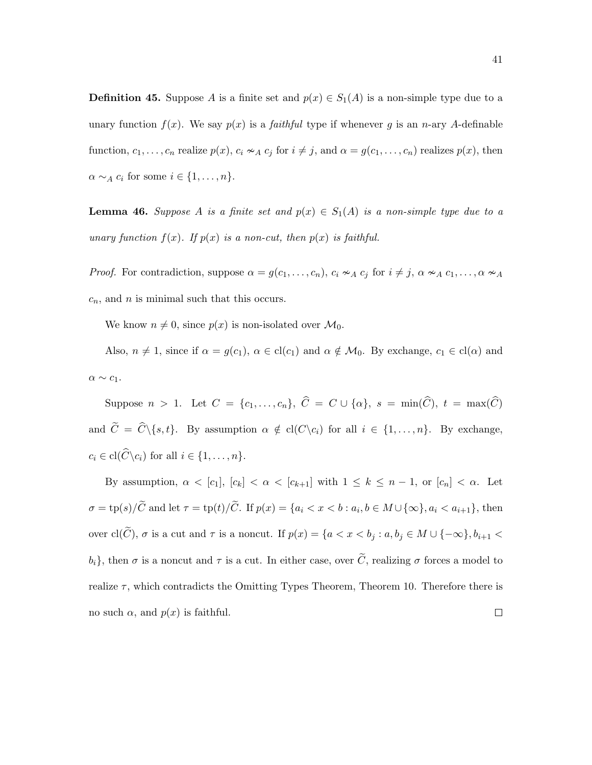**Definition 45.** Suppose A is a finite set and  $p(x) \in S_1(A)$  is a non-simple type due to a unary function  $f(x)$ . We say  $p(x)$  is a *faithful* type if whenever g is an n-ary A-definable function,  $c_1, \ldots, c_n$  realize  $p(x)$ ,  $c_i \sim_A c_j$  for  $i \neq j$ , and  $\alpha = g(c_1, \ldots, c_n)$  realizes  $p(x)$ , then  $\alpha \sim_A c_i$  for some  $i \in \{1, \ldots, n\}.$ 

**Lemma 46.** Suppose A is a finite set and  $p(x) \in S_1(A)$  is a non-simple type due to a unary function  $f(x)$ . If  $p(x)$  is a non-cut, then  $p(x)$  is faithful.

*Proof.* For contradiction, suppose  $\alpha = g(c_1, \ldots, c_n)$ ,  $c_i \nsim_A c_j$  for  $i \neq j$ ,  $\alpha \nsim_A c_1, \ldots, \alpha \nsim_A c_j$  $c_n$ , and n is minimal such that this occurs.

We know  $n \neq 0$ , since  $p(x)$  is non-isolated over  $\mathcal{M}_0$ .

Also,  $n \neq 1$ , since if  $\alpha = g(c_1)$ ,  $\alpha \in \text{cl}(c_1)$  and  $\alpha \notin \mathcal{M}_0$ . By exchange,  $c_1 \in \text{cl}(\alpha)$  and  $\alpha \sim c_1$ .

Suppose  $n > 1$ . Let  $C = \{c_1, \ldots, c_n\}$ ,  $\widehat{C} = C \cup \{\alpha\}$ ,  $s = \min(\widehat{C})$ ,  $t = \max(\widehat{C})$ and  $\widetilde{C} = \widehat{C} \setminus \{s, t\}.$  By assumption  $\alpha \notin \text{cl}(C \setminus c_i)$  for all  $i \in \{1, ..., n\}.$  By exchange,  $c_i \in \text{cl}(\widehat{C}\backslash c_i)$  for all  $i \in \{1, \ldots, n\}.$ 

By assumption,  $\alpha < [c_1]$ ,  $[c_k] < \alpha < [c_{k+1}]$  with  $1 \leq k \leq n-1$ , or  $[c_n] < \alpha$ . Let  $\sigma = \text{tp}(s)/C$  and let  $\tau = \text{tp}(t)/C$ . If  $p(x) = \{a_i \le x \le b : a_i, b \in M \cup \{\infty\}, a_i \le a_{i+1}\}\)$ , then over  $\text{cl}(\widetilde{C}), \sigma$  is a cut and  $\tau$  is a noncut. If  $p(x) = \{a < x < b_j : a, b_j \in M \cup \{-\infty\}, b_{i+1} < a_j \}$  $b_i$ , then  $\sigma$  is a noncut and  $\tau$  is a cut. In either case, over  $\tilde{C}$ , realizing  $\sigma$  forces a model to realize  $\tau$ , which contradicts the Omitting Types Theorem, Theorem 10. Therefore there is no such  $\alpha$ , and  $p(x)$  is faithful.  $\Box$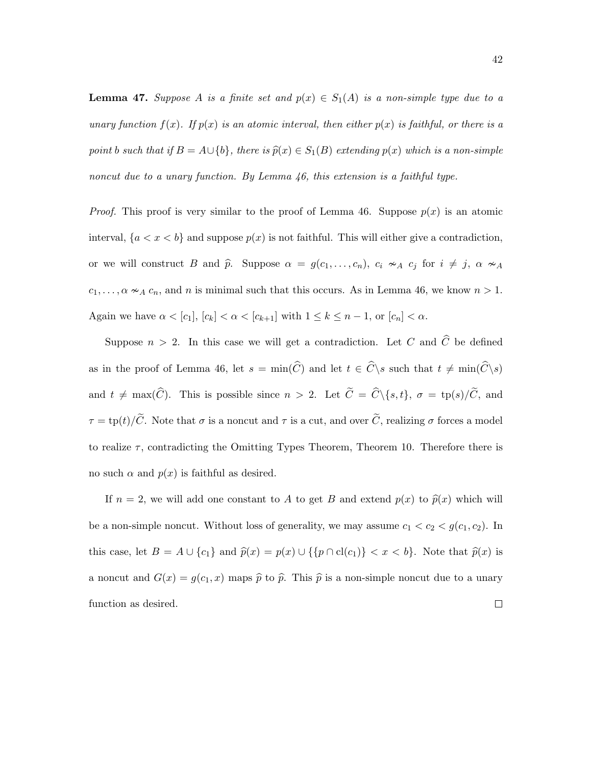**Lemma 47.** Suppose A is a finite set and  $p(x) \in S_1(A)$  is a non-simple type due to a unary function  $f(x)$ . If  $p(x)$  is an atomic interval, then either  $p(x)$  is faithful, or there is a point b such that if  $B = A \cup \{b\}$ , there is  $\hat{p}(x) \in S_1(B)$  extending  $p(x)$  which is a non-simple noncut due to a unary function. By Lemma 46, this extension is a faithful type.

*Proof.* This proof is very similar to the proof of Lemma 46. Suppose  $p(x)$  is an atomic interval,  $\{a < x < b\}$  and suppose  $p(x)$  is not faithful. This will either give a contradiction, or we will construct B and  $\hat{p}$ . Suppose  $\alpha = g(c_1, \ldots, c_n)$ ,  $c_i \nsim_A c_j$  for  $i \neq j$ ,  $\alpha \nsim_A$  $c_1, \ldots, \alpha \nsim_A c_n$ , and n is minimal such that this occurs. As in Lemma 46, we know  $n > 1$ . Again we have  $\alpha < [c_1]$ ,  $[c_k] < \alpha < [c_{k+1}]$  with  $1 \leq k \leq n-1$ , or  $[c_n] < \alpha$ .

Suppose  $n > 2$ . In this case we will get a contradiction. Let C and  $\widehat{C}$  be defined as in the proof of Lemma 46, let  $s = \min(\widehat{C})$  and let  $t \in \widehat{C} \backslash s$  such that  $t \neq \min(\widehat{C} \backslash s)$ and  $t \neq \max(\widehat{C})$ . This is possible since  $n > 2$ . Let  $\widetilde{C} = \widehat{C} \setminus \{s, t\}, \sigma = \text{tp}(s)/\widetilde{C}$ , and  $\tau = \text{tp}(t)/\tilde{C}$ . Note that  $\sigma$  is a noncut and  $\tau$  is a cut, and over  $\tilde{C}$ , realizing  $\sigma$  forces a model to realize  $\tau$ , contradicting the Omitting Types Theorem, Theorem 10. Therefore there is no such  $\alpha$  and  $p(x)$  is faithful as desired.

If  $n = 2$ , we will add one constant to A to get B and extend  $p(x)$  to  $\hat{p}(x)$  which will be a non-simple noncut. Without loss of generality, we may assume  $c_1 < c_2 < g(c_1, c_2)$ . In this case, let  $B = A \cup \{c_1\}$  and  $\hat{p}(x) = p(x) \cup \{\{p \cap cl(c_1)\} < x < b\}$ . Note that  $\hat{p}(x)$  is a noncut and  $G(x) = g(c_1, x)$  maps  $\hat{p}$  to  $\hat{p}$ . This  $\hat{p}$  is a non-simple noncut due to a unary function as desired. $\Box$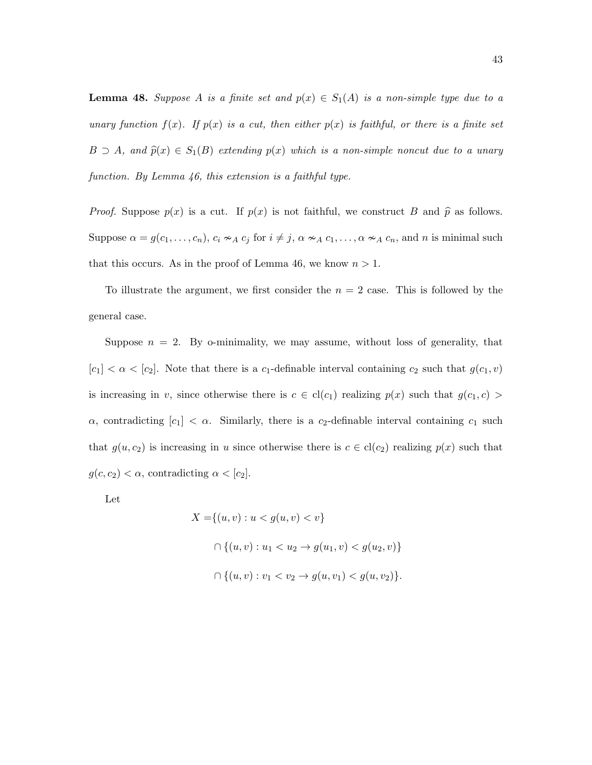**Lemma 48.** Suppose A is a finite set and  $p(x) \in S_1(A)$  is a non-simple type due to a unary function  $f(x)$ . If  $p(x)$  is a cut, then either  $p(x)$  is faithful, or there is a finite set  $B \supset A$ , and  $\widehat{p}(x) \in S_1(B)$  extending  $p(x)$  which is a non-simple noncut due to a unary function. By Lemma 46, this extension is a faithful type.

*Proof.* Suppose  $p(x)$  is a cut. If  $p(x)$  is not faithful, we construct B and  $\hat{p}$  as follows. Suppose  $\alpha = g(c_1, \ldots, c_n)$ ,  $c_i \approx_A c_j$  for  $i \neq j$ ,  $\alpha \approx_A c_1, \ldots, \alpha \approx_A c_n$ , and n is minimal such that this occurs. As in the proof of Lemma 46, we know  $n > 1$ .

To illustrate the argument, we first consider the  $n = 2$  case. This is followed by the general case.

Suppose  $n = 2$ . By o-minimality, we may assume, without loss of generality, that  $[c_1] < \alpha < [c_2]$ . Note that there is a  $c_1$ -definable interval containing  $c_2$  such that  $g(c_1, v)$ is increasing in v, since otherwise there is  $c \in cl(c_1)$  realizing  $p(x)$  such that  $g(c_1, c)$  $\alpha$ , contradicting  $[c_1] < \alpha$ . Similarly, there is a c<sub>2</sub>-definable interval containing c<sub>1</sub> such that  $g(u, c_2)$  is increasing in u since otherwise there is  $c \in cl(c_2)$  realizing  $p(x)$  such that  $g(c, c_2) < \alpha$ , contradicting  $\alpha < [c_2]$ .

Let

$$
X = \{(u, v) : u < g(u, v) < v\}
$$
\n
$$
\bigcap \{(u, v) : u_1 < u_2 \to g(u_1, v) < g(u_2, v)\}
$$
\n
$$
\bigcap \{(u, v) : v_1 < v_2 \to g(u, v_1) < g(u, v_2)\}.
$$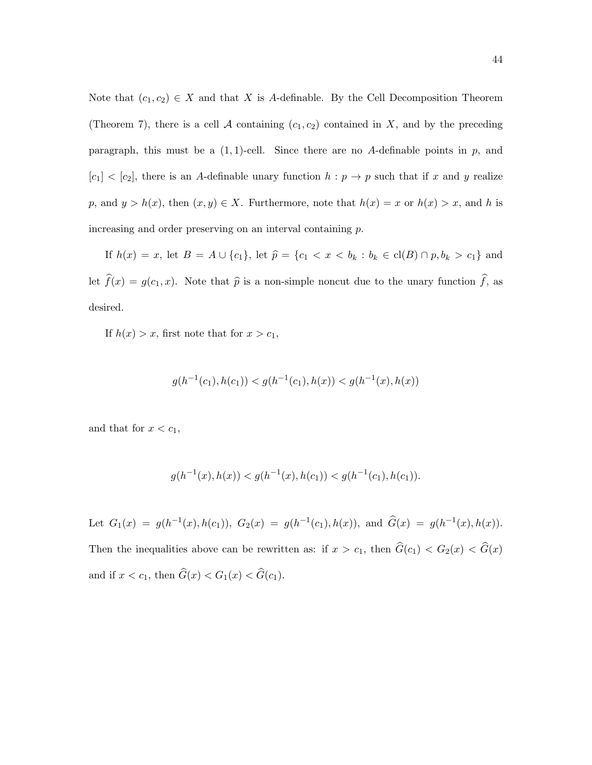Note that  $(c_1, c_2) \in X$  and that X is A-definable. By the Cell Decomposition Theorem (Theorem 7), there is a cell A containing  $(c_1, c_2)$  contained in X, and by the preceding paragraph, this must be a  $(1, 1)$ -cell. Since there are no A-definable points in p, and  $[c_1] < [c_2]$ , there is an A-definable unary function  $h : p \to p$  such that if x and y realize p, and  $y > h(x)$ , then  $(x, y) \in X$ . Furthermore, note that  $h(x) = x$  or  $h(x) > x$ , and h is increasing and order preserving on an interval containing p.

If  $h(x) = x$ , let  $B = A \cup \{c_1\}$ , let  $\hat{p} = \{c_1 < x < b_k : b_k \in cl(B) \cap p, b_k > c_1\}$  and let  $\widehat{f}(x) = g(c_1, x)$ . Note that  $\widehat{p}$  is a non-simple noncut due to the unary function  $\widehat{f}$ , as desired.

If  $h(x) > x$ , first note that for  $x > c_1$ ,

$$
g(h^{-1}(c_1), h(c_1)) < g(h^{-1}(c_1), h(x)) < g(h^{-1}(x), h(x))
$$

and that for  $x < c_1$ ,

$$
g(h^{-1}(x), h(x)) < g(h^{-1}(x), h(c_1)) < g(h^{-1}(c_1), h(c_1)).
$$

Let  $G_1(x) = g(h^{-1}(x), h(c_1)), G_2(x) = g(h^{-1}(c_1), h(x)), \text{ and } \hat{G}(x) = g(h^{-1}(x), h(x)).$ Then the inequalities above can be rewritten as: if  $x > c_1$ , then  $\hat{G}(c_1) < G_2(x) < \hat{G}(x)$ and if  $x < c_1$ , then  $\hat{G}(x) < G_1(x) < \hat{G}(c_1)$ .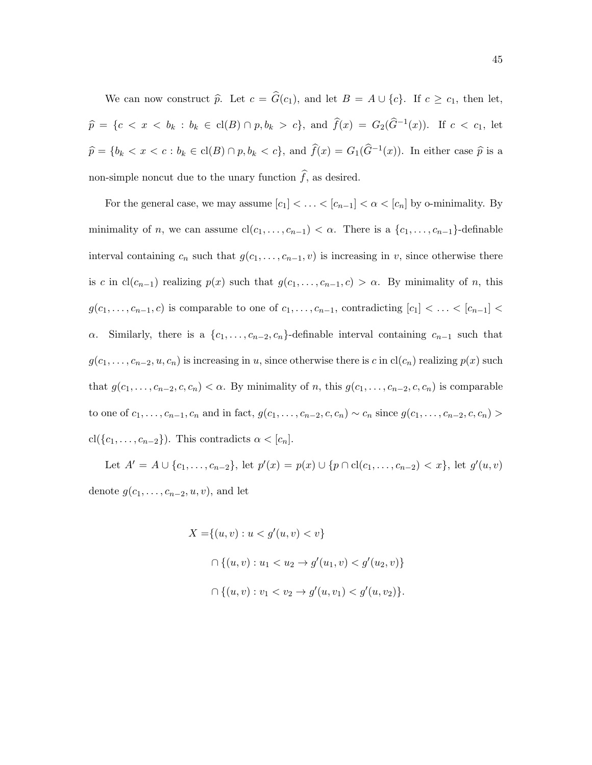We can now construct  $\hat{p}$ . Let  $c = \hat{G}(c_1)$ , and let  $B = A \cup \{c\}$ . If  $c \geq c_1$ , then let,  $\widehat{p} = \{c < x < b_k : b_k \in \text{cl}(B) \cap p, b_k > c\},\$ and  $\widehat{f}(x) = G_2(\widehat{G}^{-1}(x))$ . If  $c < c_1$ , let  $\widehat{p} = \{b_k < x < c : b_k \in \text{cl}(B) \cap p, b_k < c\}$ , and  $\widehat{f}(x) = G_1(\widehat{G}^{-1}(x))$ . In either case  $\widehat{p}$  is a non-simple noncut due to the unary function  $\widehat{f},$  as desired.

For the general case, we may assume  $[c_1] < \ldots < [c_{n-1}] < \alpha < [c_n]$  by o-minimality. By minimality of *n*, we can assume  $cl(c_1, \ldots, c_{n-1}) < \alpha$ . There is a  $\{c_1, \ldots, c_{n-1}\}$ -definable interval containing  $c_n$  such that  $g(c_1, \ldots, c_{n-1}, v)$  is increasing in v, since otherwise there is c in cl(c<sub>n−1</sub>) realizing  $p(x)$  such that  $g(c_1, \ldots, c_{n-1}, c) > \alpha$ . By minimality of n, this  $g(c_1, \ldots, c_{n-1}, c)$  is comparable to one of  $c_1, \ldots, c_{n-1}$ , contradicting  $[c_1] < \ldots < [c_{n-1}] <$  $\alpha$ . Similarly, there is a  $\{c_1, \ldots, c_{n-2}, c_n\}$ -definable interval containing  $c_{n-1}$  such that  $g(c_1, \ldots, c_{n-2}, u, c_n)$  is increasing in u, since otherwise there is c in  $cl(c_n)$  realizing  $p(x)$  such that  $g(c_1, \ldots, c_{n-2}, c, c_n) < \alpha$ . By minimality of n, this  $g(c_1, \ldots, c_{n-2}, c, c_n)$  is comparable to one of  $c_1, \ldots, c_{n-1}, c_n$  and in fact,  $g(c_1, \ldots, c_{n-2}, c, c_n) \sim c_n$  since  $g(c_1, \ldots, c_{n-2}, c, c_n)$ cl({ $c_1, \ldots, c_{n-2}$ }). This contradicts  $\alpha < [c_n]$ .

Let  $A' = A \cup \{c_1, \ldots, c_{n-2}\},\$  let  $p'(x) = p(x) \cup \{p \cap cl(c_1, \ldots, c_{n-2}) < x\},\$  let  $g'(u, v)$ denote  $g(c_1, \ldots, c_{n-2}, u, v)$ , and let

$$
X = \{(u, v) : u < g'(u, v) < v\}
$$
\n
$$
\bigcap \{(u, v) : u_1 < u_2 \to g'(u_1, v) < g'(u_2, v)\}
$$
\n
$$
\bigcap \{(u, v) : v_1 < v_2 \to g'(u, v_1) < g'(u, v_2)\}.
$$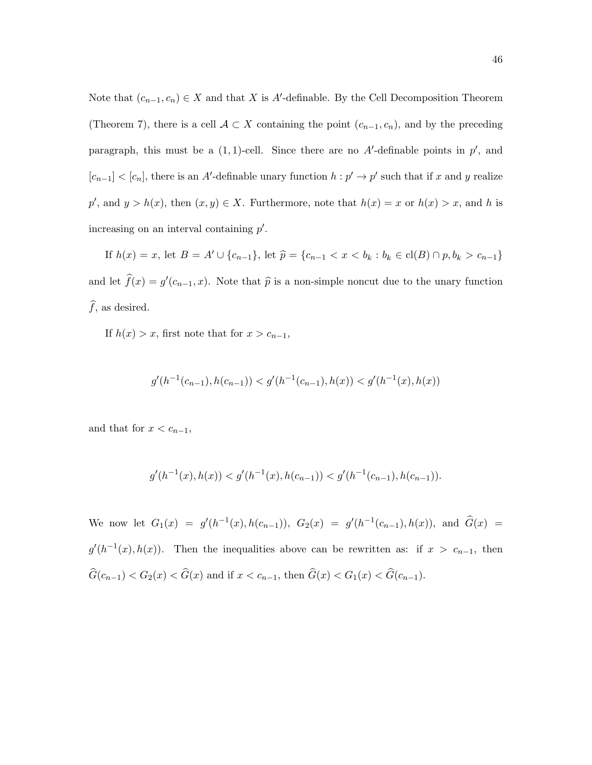Note that  $(c_{n-1}, c_n) \in X$  and that X is A'-definable. By the Cell Decomposition Theorem (Theorem 7), there is a cell  $A \subset X$  containing the point  $(c_{n-1}, c_n)$ , and by the preceding paragraph, this must be a  $(1, 1)$ -cell. Since there are no A'-definable points in  $p'$ , and  $[c_{n-1}] < [c_n]$ , there is an A'-definable unary function  $h : p' \to p'$  such that if x and y realize p', and  $y > h(x)$ , then  $(x, y) \in X$ . Furthermore, note that  $h(x) = x$  or  $h(x) > x$ , and h is increasing on an interval containing  $p'$ .

If  $h(x) = x$ , let  $B = A' \cup \{c_{n-1}\}$ , let  $\widehat{p} = \{c_{n-1} < x < b_k : b_k \in \text{cl}(B) \cap p, b_k > c_{n-1}\}$ and let  $\hat{f}(x) = g'(c_{n-1}, x)$ . Note that  $\hat{p}$  is a non-simple noncut due to the unary function  $\widehat{f}$ , as desired.

If  $h(x) > x$ , first note that for  $x > c_{n-1}$ ,

$$
g'(h^{-1}(c_{n-1}), h(c_{n-1})) < g'(h^{-1}(c_{n-1}), h(x)) < g'(h^{-1}(x), h(x))
$$

and that for  $x < c_{n-1}$ ,

$$
g'(h^{-1}(x), h(x)) < g'(h^{-1}(x), h(c_{n-1})) < g'(h^{-1}(c_{n-1}), h(c_{n-1})).
$$

We now let  $G_1(x) = g'(h^{-1}(x), h(c_{n-1})), G_2(x) = g'(h^{-1}(c_{n-1}), h(x)),$  and  $\hat{G}(x) =$  $g'(h^{-1}(x), h(x))$ . Then the inequalities above can be rewritten as: if  $x > c_{n-1}$ , then  $\widehat{G}(c_{n-1}) < G_2(x) < \widehat{G}(x)$  and if  $x < c_{n-1}$ , then  $\widehat{G}(x) < G_1(x) < \widehat{G}(c_{n-1})$ .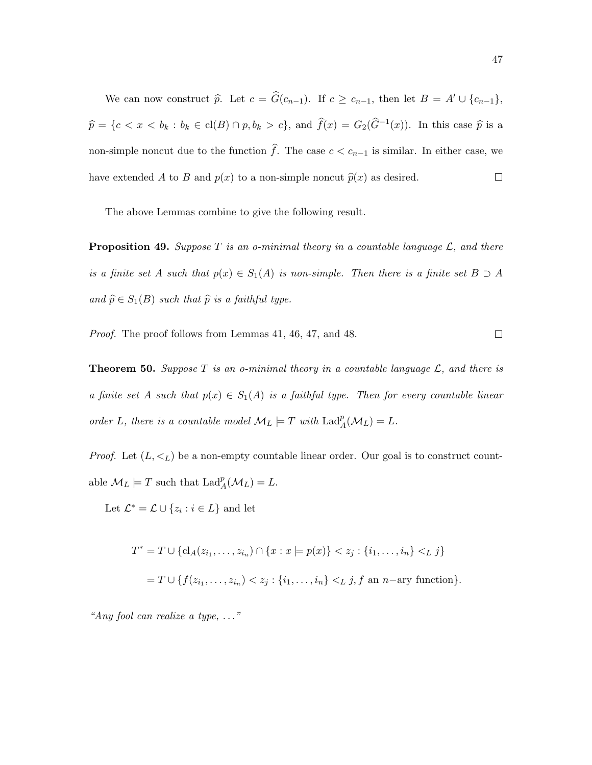We can now construct  $\hat{p}$ . Let  $c = \hat{G}(c_{n-1})$ . If  $c \geq c_{n-1}$ , then let  $B = A' \cup \{c_{n-1}\},$  $\widehat{p} = \{c < x < b_k : b_k \in \text{cl}(B) \cap p, b_k > c\},\$ and  $\widehat{f}(x) = G_2(\widehat{G}^{-1}(x))$ . In this case  $\widehat{p}$  is a non-simple noncut due to the function  $\hat{f}$ . The case  $c < c_{n-1}$  is similar. In either case, we have extended A to B and  $p(x)$  to a non-simple noncut  $\hat{p}(x)$  as desired.  $\Box$ 

The above Lemmas combine to give the following result.

**Proposition 49.** Suppose  $T$  is an o-minimal theory in a countable language  $\mathcal{L}$ , and there is a finite set A such that  $p(x) \in S_1(A)$  is non-simple. Then there is a finite set  $B \supset A$ and  $\widehat{p} \in S_1(B)$  such that  $\widehat{p}$  is a faithful type.

Proof. The proof follows from Lemmas 41, 46, 47, and 48.

**Theorem 50.** Suppose T is an o-minimal theory in a countable language  $\mathcal{L}$ , and there is a finite set A such that  $p(x) \in S_1(A)$  is a faithful type. Then for every countable linear order L, there is a countable model  $\mathcal{M}_L \models T$  with  $\text{Lad}_A^p(\mathcal{M}_L) = L$ .

*Proof.* Let  $(L, \lt_L)$  be a non-empty countable linear order. Our goal is to construct countable  $\mathcal{M}_L \models T$  such that  $\text{Lad}_A^p(\mathcal{M}_L) = L$ .

Let  $\mathcal{L}^* = \mathcal{L} \cup \{z_i : i \in L\}$  and let

$$
T^* = T \cup \{ cl_A(z_{i_1},...,z_{i_n}) \cap \{x : x \models p(x) \} < z_j : \{i_1,...,i_n\} <_{L} j \}
$$
\n
$$
= T \cup \{ f(z_{i_1},...,z_{i_n}) < z_j : \{i_1,...,i_n\} <_{L} j, f \text{ an } n\text{-ary function} \}.
$$

"Any fool can realize a type, . . ."

$$
\qquad \qquad \Box
$$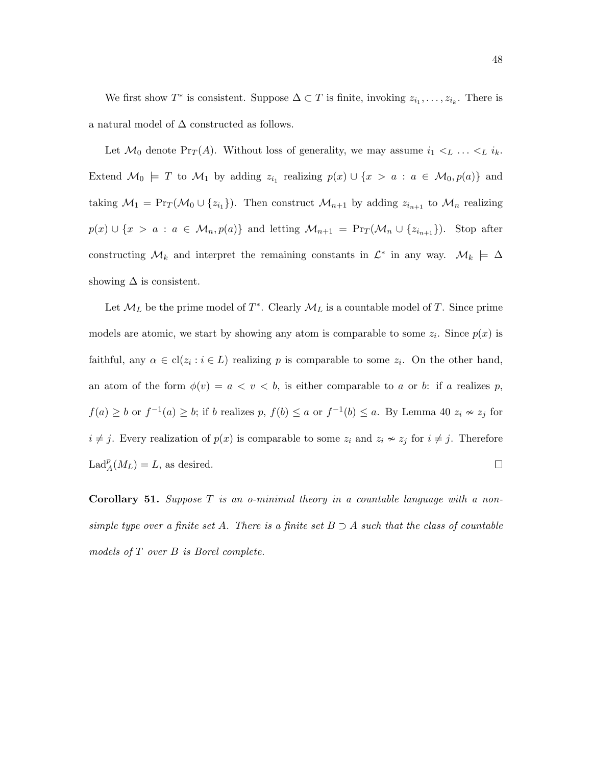We first show  $T^*$  is consistent. Suppose  $\Delta \subset T$  is finite, invoking  $z_{i_1}, \ldots, z_{i_k}$ . There is a natural model of  $\Delta$  constructed as follows.

Let  $\mathcal{M}_0$  denote Pr<sub>T</sub>(A). Without loss of generality, we may assume  $i_1 \lt_L \ldots \lt_L i_k$ . Extend  $\mathcal{M}_0 \models T$  to  $\mathcal{M}_1$  by adding  $z_{i_1}$  realizing  $p(x) \cup \{x > a : a \in \mathcal{M}_0, p(a)\}\$  and taking  $\mathcal{M}_1 = \Pr_T(\mathcal{M}_0 \cup \{z_{i_1}\})$ . Then construct  $\mathcal{M}_{n+1}$  by adding  $z_{i_{n+1}}$  to  $\mathcal{M}_n$  realizing  $p(x) \cup \{x > a : a \in \mathcal{M}_n, p(a)\}\$ and letting  $\mathcal{M}_{n+1} = \Pr_T(\mathcal{M}_n \cup \{z_{i_{n+1}}\})$ . Stop after constructing  $\mathcal{M}_k$  and interpret the remaining constants in  $\mathcal{L}^*$  in any way.  $\mathcal{M}_k \models \Delta$ showing  $\Delta$  is consistent.

Let  $\mathcal{M}_L$  be the prime model of  $T^*$ . Clearly  $\mathcal{M}_L$  is a countable model of T. Since prime models are atomic, we start by showing any atom is comparable to some  $z_i$ . Since  $p(x)$  is faithful, any  $\alpha \in \text{cl}(z_i : i \in L)$  realizing p is comparable to some  $z_i$ . On the other hand, an atom of the form  $\phi(v) = a < v < b$ , is either comparable to a or b: if a realizes p,  $f(a) \geq b$  or  $f^{-1}(a) \geq b$ ; if b realizes p,  $f(b) \leq a$  or  $f^{-1}(b) \leq a$ . By Lemma 40  $z_i \nsim z_j$  for  $i \neq j$ . Every realization of  $p(x)$  is comparable to some  $z_i$  and  $z_i \nsim z_j$  for  $i \neq j$ . Therefore  $\text{Lad}_{A}^{p}(M_{L})=L,$  as desired.  $\Box$ 

**Corollary 51.** Suppose  $T$  is an o-minimal theory in a countable language with a nonsimple type over a finite set A. There is a finite set  $B \supset A$  such that the class of countable models of T over B is Borel complete.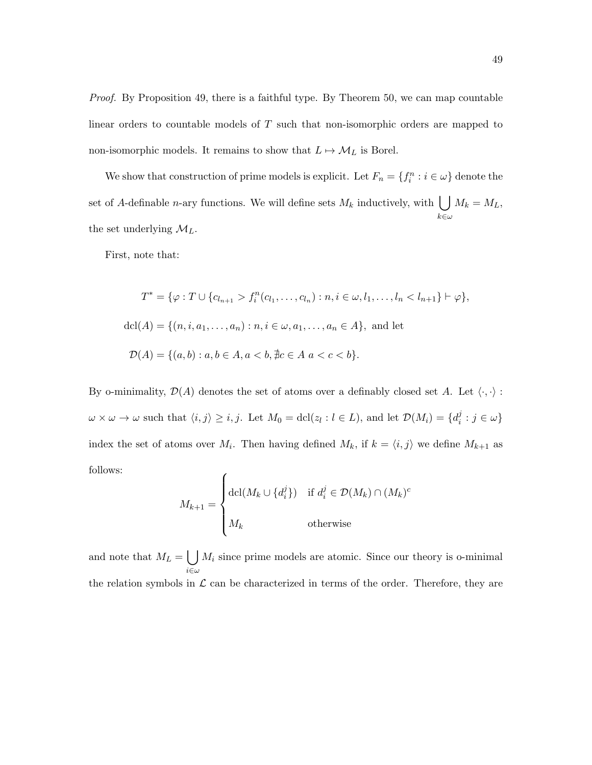Proof. By Proposition 49, there is a faithful type. By Theorem 50, we can map countable linear orders to countable models of T such that non-isomorphic orders are mapped to non-isomorphic models. It remains to show that  $L \mapsto M_L$  is Borel.

We show that construction of prime models is explicit. Let  $F_n = \{f_i^n : i \in \omega\}$  denote the set of A-definable *n*-ary functions. We will define sets  $M_k$  inductively, with  $\bigcup$  $k\in\omega$  $M_k = M_L$ , the set underlying  $\mathcal{M}_L$ .

First, note that:

$$
T^* = \{ \varphi : T \cup \{c_{l_{n+1}} > f_i^n(c_{l_1}, \dots, c_{l_n}) : n, i \in \omega, l_1, \dots, l_n < l_{n+1} \} \vdash \varphi \},
$$
  
dcl(A) = \{(n, i, a\_1, \dots, a\_n) : n, i \in \omega, a\_1, \dots, a\_n \in A \}, and let  

$$
\mathcal{D}(A) = \{(a, b) : a, b \in A, a < b, \nexists c \in A \mid a < c < b \}.
$$

By o-minimality,  $\mathcal{D}(A)$  denotes the set of atoms over a definably closed set A. Let  $\langle \cdot, \cdot \rangle$ :  $\omega \times \omega \to \omega$  such that  $\langle i, j \rangle \geq i, j$ . Let  $M_0 = \text{dcl}(z_l : l \in L)$ , and let  $\mathcal{D}(M_i) = \{d_i^j\}$  $i^j : j \in \omega\}$ index the set of atoms over  $M_i$ . Then having defined  $M_k$ , if  $k = \langle i, j \rangle$  we define  $M_{k+1}$  as follows:  $\epsilon$ 

$$
M_{k+1} = \begin{cases} \det(M_k \cup \{d_i^j\}) & \text{if } d_i^j \in \mathcal{D}(M_k) \cap (M_k)^c \\ M_k & \text{otherwise} \end{cases}
$$

and note that  $M_L = \begin{bmatrix} \end{bmatrix}$  $i\in\omega$  $M_i$  since prime models are atomic. Since our theory is o-minimal the relation symbols in  $\mathcal L$  can be characterized in terms of the order. Therefore, they are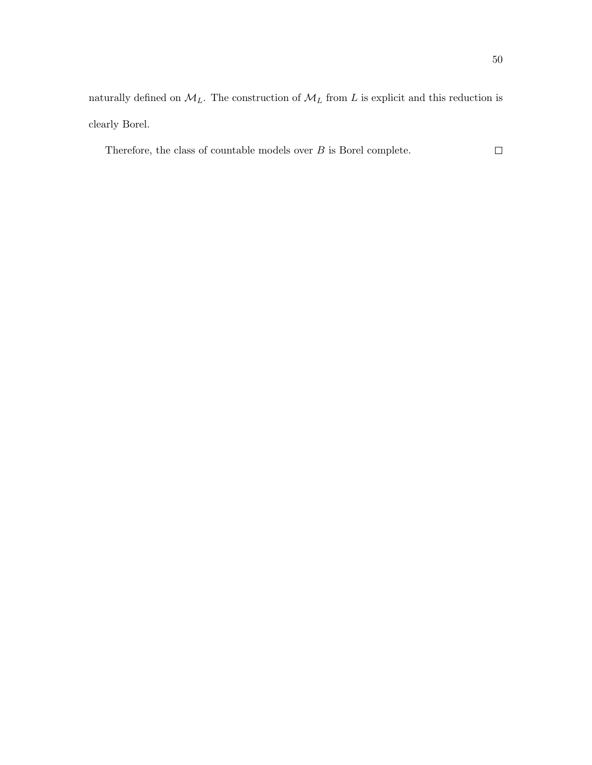naturally defined on  $\mathcal{M}_L.$  The construction of  $\mathcal{M}_L$  from  $L$  is explicit and this reduction is clearly Borel.

Therefore, the class of countable models over  $B$  is Borel complete.  $\hfill \square$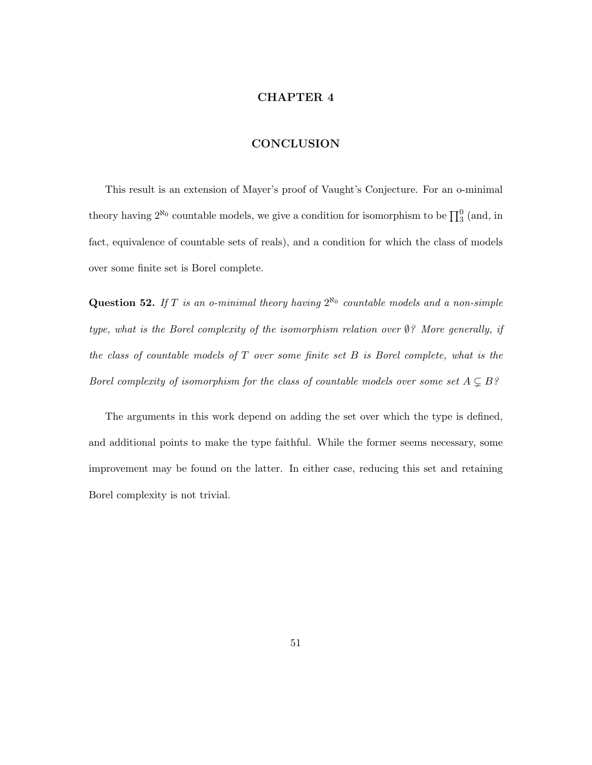#### CHAPTER 4

### **CONCLUSION**

This result is an extension of Mayer's proof of Vaught's Conjecture. For an o-minimal theory having  $2^{\aleph_0}$  countable models, we give a condition for isomorphism to be  $\prod_3^0$  (and, in fact, equivalence of countable sets of reals), and a condition for which the class of models over some finite set is Borel complete.

**Question 52.** If T is an o-minimal theory having  $2^{\aleph_0}$  countable models and a non-simple type, what is the Borel complexity of the isomorphism relation over ∅? More generally, if the class of countable models of  $T$  over some finite set  $B$  is Borel complete, what is the Borel complexity of isomorphism for the class of countable models over some set  $A \subsetneq B$ ?

The arguments in this work depend on adding the set over which the type is defined, and additional points to make the type faithful. While the former seems necessary, some improvement may be found on the latter. In either case, reducing this set and retaining Borel complexity is not trivial.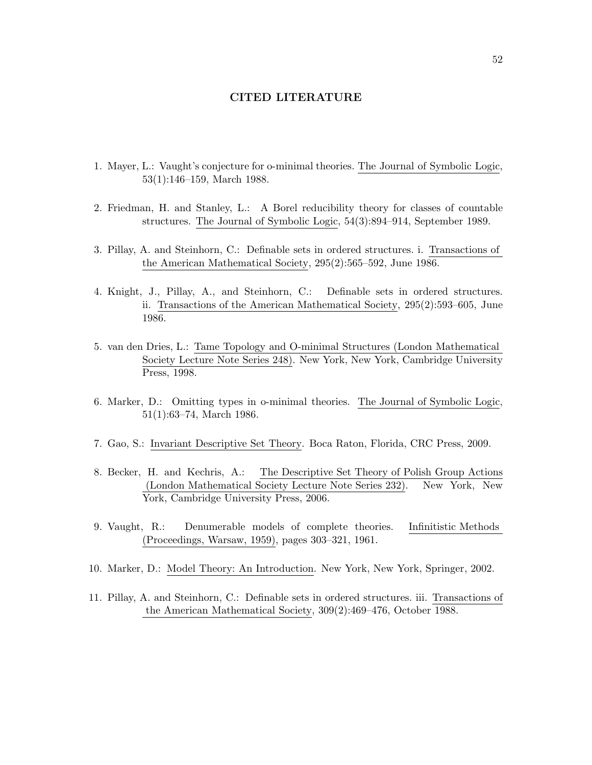#### CITED LITERATURE

- 1. Mayer, L.: Vaught's conjecture for o-minimal theories. The Journal of Symbolic Logic, 53(1):146–159, March 1988.
- 2. Friedman, H. and Stanley, L.: A Borel reducibility theory for classes of countable structures. The Journal of Symbolic Logic, 54(3):894–914, September 1989.
- 3. Pillay, A. and Steinhorn, C.: Definable sets in ordered structures. i. Transactions of the American Mathematical Society, 295(2):565–592, June 1986.
- 4. Knight, J., Pillay, A., and Steinhorn, C.: Definable sets in ordered structures. ii. Transactions of the American Mathematical Society, 295(2):593–605, June 1986.
- 5. van den Dries, L.: Tame Topology and O-minimal Structures (London Mathematical Society Lecture Note Series 248). New York, New York, Cambridge University Press, 1998.
- 6. Marker, D.: Omitting types in o-minimal theories. The Journal of Symbolic Logic, 51(1):63–74, March 1986.
- 7. Gao, S.: Invariant Descriptive Set Theory. Boca Raton, Florida, CRC Press, 2009.
- 8. Becker, H. and Kechris, A.: The Descriptive Set Theory of Polish Group Actions (London Mathematical Society Lecture Note Series 232). New York, New York, Cambridge University Press, 2006.
- 9. Vaught, R.: Denumerable models of complete theories. Infinitistic Methods (Proceedings, Warsaw, 1959), pages 303–321, 1961.
- 10. Marker, D.: Model Theory: An Introduction. New York, New York, Springer, 2002.
- 11. Pillay, A. and Steinhorn, C.: Definable sets in ordered structures. iii. Transactions of the American Mathematical Society, 309(2):469–476, October 1988.